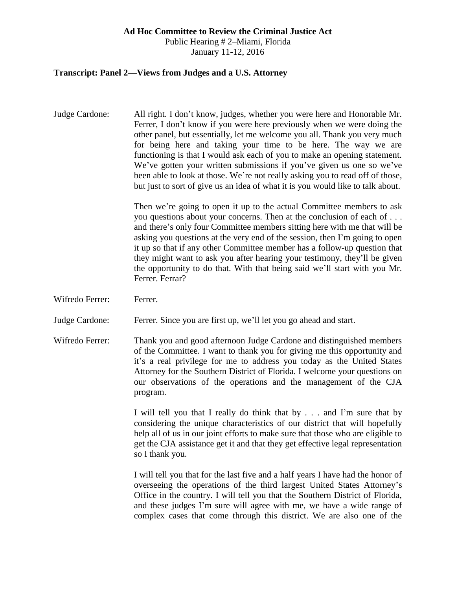#### **Ad Hoc Committee to Review the Criminal Justice Act**

Public Hearing # 2–Miami, Florida January 11-12, 2016

#### **Transcript: Panel 2—Views from Judges and a U.S. Attorney**

Judge Cardone: All right. I don't know, judges, whether you were here and Honorable Mr. Ferrer, I don't know if you were here previously when we were doing the other panel, but essentially, let me welcome you all. Thank you very much for being here and taking your time to be here. The way we are functioning is that I would ask each of you to make an opening statement. We've gotten your written submissions if you've given us one so we've been able to look at those. We're not really asking you to read off of those, but just to sort of give us an idea of what it is you would like to talk about.

> Then we're going to open it up to the actual Committee members to ask you questions about your concerns. Then at the conclusion of each of . . . and there's only four Committee members sitting here with me that will be asking you questions at the very end of the session, then I'm going to open it up so that if any other Committee member has a follow-up question that they might want to ask you after hearing your testimony, they'll be given the opportunity to do that. With that being said we'll start with you Mr. Ferrer. Ferrar?

Wifredo Ferrer: Ferrer.

Judge Cardone: Ferrer. Since you are first up, we'll let you go ahead and start.

Wifredo Ferrer: Thank you and good afternoon Judge Cardone and distinguished members of the Committee. I want to thank you for giving me this opportunity and it's a real privilege for me to address you today as the United States Attorney for the Southern District of Florida. I welcome your questions on our observations of the operations and the management of the CJA program.

> I will tell you that I really do think that by . . . and I'm sure that by considering the unique characteristics of our district that will hopefully help all of us in our joint efforts to make sure that those who are eligible to get the CJA assistance get it and that they get effective legal representation so I thank you.

> I will tell you that for the last five and a half years I have had the honor of overseeing the operations of the third largest United States Attorney's Office in the country. I will tell you that the Southern District of Florida, and these judges I'm sure will agree with me, we have a wide range of complex cases that come through this district. We are also one of the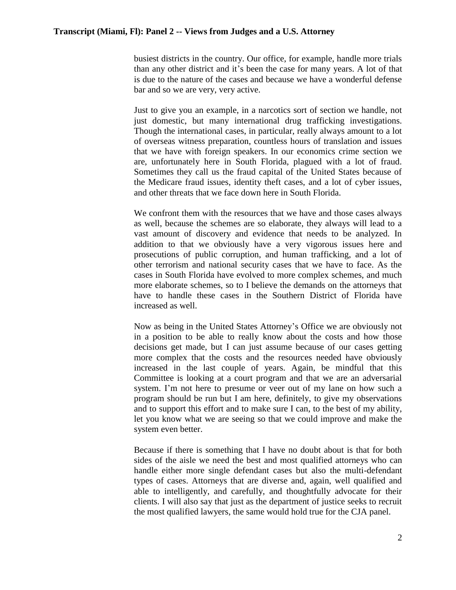busiest districts in the country. Our office, for example, handle more trials than any other district and it's been the case for many years. A lot of that is due to the nature of the cases and because we have a wonderful defense bar and so we are very, very active.

Just to give you an example, in a narcotics sort of section we handle, not just domestic, but many international drug trafficking investigations. Though the international cases, in particular, really always amount to a lot of overseas witness preparation, countless hours of translation and issues that we have with foreign speakers. In our economics crime section we are, unfortunately here in South Florida, plagued with a lot of fraud. Sometimes they call us the fraud capital of the United States because of the Medicare fraud issues, identity theft cases, and a lot of cyber issues, and other threats that we face down here in South Florida.

We confront them with the resources that we have and those cases always as well, because the schemes are so elaborate, they always will lead to a vast amount of discovery and evidence that needs to be analyzed. In addition to that we obviously have a very vigorous issues here and prosecutions of public corruption, and human trafficking, and a lot of other terrorism and national security cases that we have to face. As the cases in South Florida have evolved to more complex schemes, and much more elaborate schemes, so to I believe the demands on the attorneys that have to handle these cases in the Southern District of Florida have increased as well.

Now as being in the United States Attorney's Office we are obviously not in a position to be able to really know about the costs and how those decisions get made, but I can just assume because of our cases getting more complex that the costs and the resources needed have obviously increased in the last couple of years. Again, be mindful that this Committee is looking at a court program and that we are an adversarial system. I'm not here to presume or veer out of my lane on how such a program should be run but I am here, definitely, to give my observations and to support this effort and to make sure I can, to the best of my ability, let you know what we are seeing so that we could improve and make the system even better.

Because if there is something that I have no doubt about is that for both sides of the aisle we need the best and most qualified attorneys who can handle either more single defendant cases but also the multi-defendant types of cases. Attorneys that are diverse and, again, well qualified and able to intelligently, and carefully, and thoughtfully advocate for their clients. I will also say that just as the department of justice seeks to recruit the most qualified lawyers, the same would hold true for the CJA panel.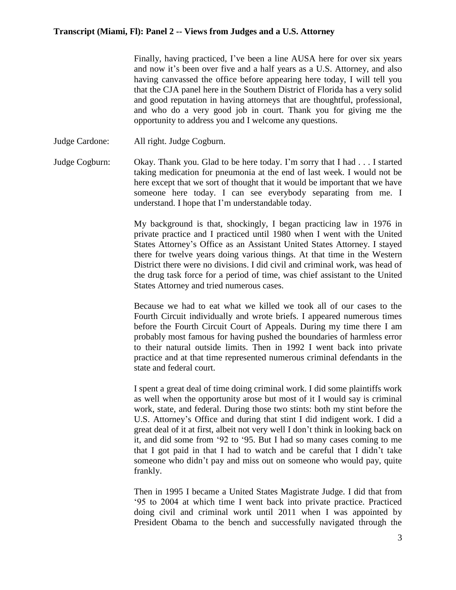Finally, having practiced, I've been a line AUSA here for over six years and now it's been over five and a half years as a U.S. Attorney, and also having canvassed the office before appearing here today, I will tell you that the CJA panel here in the Southern District of Florida has a very solid and good reputation in having attorneys that are thoughtful, professional, and who do a very good job in court. Thank you for giving me the opportunity to address you and I welcome any questions.

Judge Cardone: All right. Judge Cogburn.

Judge Cogburn: Okay. Thank you. Glad to be here today. I'm sorry that I had . . . I started taking medication for pneumonia at the end of last week. I would not be here except that we sort of thought that it would be important that we have someone here today. I can see everybody separating from me. I understand. I hope that I'm understandable today.

> My background is that, shockingly, I began practicing law in 1976 in private practice and I practiced until 1980 when I went with the United States Attorney's Office as an Assistant United States Attorney. I stayed there for twelve years doing various things. At that time in the Western District there were no divisions. I did civil and criminal work, was head of the drug task force for a period of time, was chief assistant to the United States Attorney and tried numerous cases.

> Because we had to eat what we killed we took all of our cases to the Fourth Circuit individually and wrote briefs. I appeared numerous times before the Fourth Circuit Court of Appeals. During my time there I am probably most famous for having pushed the boundaries of harmless error to their natural outside limits. Then in 1992 I went back into private practice and at that time represented numerous criminal defendants in the state and federal court.

> I spent a great deal of time doing criminal work. I did some plaintiffs work as well when the opportunity arose but most of it I would say is criminal work, state, and federal. During those two stints: both my stint before the U.S. Attorney's Office and during that stint I did indigent work. I did a great deal of it at first, albeit not very well I don't think in looking back on it, and did some from '92 to '95. But I had so many cases coming to me that I got paid in that I had to watch and be careful that I didn't take someone who didn't pay and miss out on someone who would pay, quite frankly.

> Then in 1995 I became a United States Magistrate Judge. I did that from '95 to 2004 at which time I went back into private practice. Practiced doing civil and criminal work until 2011 when I was appointed by President Obama to the bench and successfully navigated through the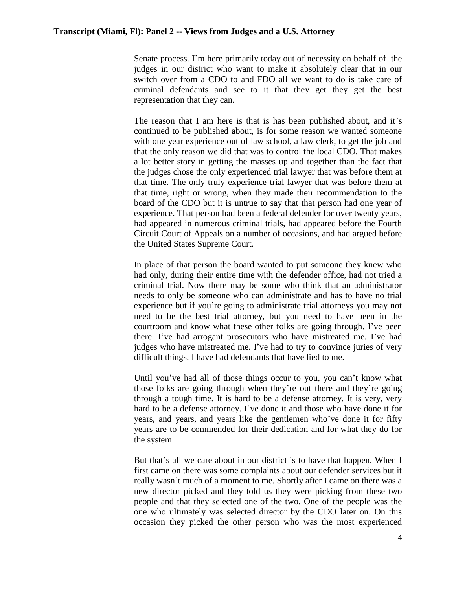Senate process. I'm here primarily today out of necessity on behalf of the judges in our district who want to make it absolutely clear that in our switch over from a CDO to and FDO all we want to do is take care of criminal defendants and see to it that they get they get the best representation that they can.

The reason that I am here is that is has been published about, and it's continued to be published about, is for some reason we wanted someone with one year experience out of law school, a law clerk, to get the job and that the only reason we did that was to control the local CDO. That makes a lot better story in getting the masses up and together than the fact that the judges chose the only experienced trial lawyer that was before them at that time. The only truly experience trial lawyer that was before them at that time, right or wrong, when they made their recommendation to the board of the CDO but it is untrue to say that that person had one year of experience. That person had been a federal defender for over twenty years, had appeared in numerous criminal trials, had appeared before the Fourth Circuit Court of Appeals on a number of occasions, and had argued before the United States Supreme Court.

In place of that person the board wanted to put someone they knew who had only, during their entire time with the defender office, had not tried a criminal trial. Now there may be some who think that an administrator needs to only be someone who can administrate and has to have no trial experience but if you're going to administrate trial attorneys you may not need to be the best trial attorney, but you need to have been in the courtroom and know what these other folks are going through. I've been there. I've had arrogant prosecutors who have mistreated me. I've had judges who have mistreated me. I've had to try to convince juries of very difficult things. I have had defendants that have lied to me.

Until you've had all of those things occur to you, you can't know what those folks are going through when they're out there and they're going through a tough time. It is hard to be a defense attorney. It is very, very hard to be a defense attorney. I've done it and those who have done it for years, and years, and years like the gentlemen who've done it for fifty years are to be commended for their dedication and for what they do for the system.

But that's all we care about in our district is to have that happen. When I first came on there was some complaints about our defender services but it really wasn't much of a moment to me. Shortly after I came on there was a new director picked and they told us they were picking from these two people and that they selected one of the two. One of the people was the one who ultimately was selected director by the CDO later on. On this occasion they picked the other person who was the most experienced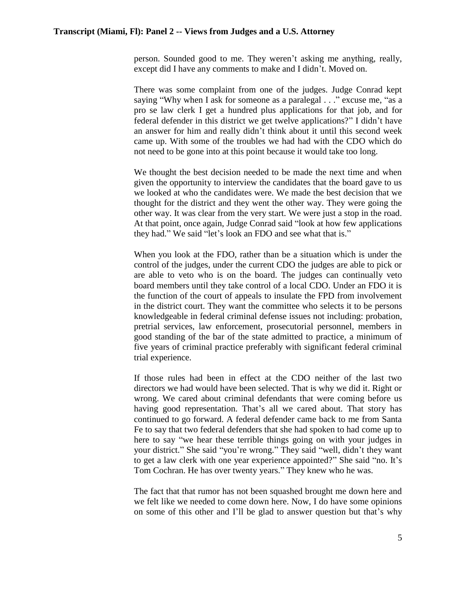person. Sounded good to me. They weren't asking me anything, really, except did I have any comments to make and I didn't. Moved on.

There was some complaint from one of the judges. Judge Conrad kept saying "Why when I ask for someone as a paralegal . . ." excuse me, "as a pro se law clerk I get a hundred plus applications for that job, and for federal defender in this district we get twelve applications?" I didn't have an answer for him and really didn't think about it until this second week came up. With some of the troubles we had had with the CDO which do not need to be gone into at this point because it would take too long.

We thought the best decision needed to be made the next time and when given the opportunity to interview the candidates that the board gave to us we looked at who the candidates were. We made the best decision that we thought for the district and they went the other way. They were going the other way. It was clear from the very start. We were just a stop in the road. At that point, once again, Judge Conrad said "look at how few applications they had." We said "let's look an FDO and see what that is."

When you look at the FDO, rather than be a situation which is under the control of the judges, under the current CDO the judges are able to pick or are able to veto who is on the board. The judges can continually veto board members until they take control of a local CDO. Under an FDO it is the function of the court of appeals to insulate the FPD from involvement in the district court. They want the committee who selects it to be persons knowledgeable in federal criminal defense issues not including: probation, pretrial services, law enforcement, prosecutorial personnel, members in good standing of the bar of the state admitted to practice, a minimum of five years of criminal practice preferably with significant federal criminal trial experience.

If those rules had been in effect at the CDO neither of the last two directors we had would have been selected. That is why we did it. Right or wrong. We cared about criminal defendants that were coming before us having good representation. That's all we cared about. That story has continued to go forward. A federal defender came back to me from Santa Fe to say that two federal defenders that she had spoken to had come up to here to say "we hear these terrible things going on with your judges in your district." She said "you're wrong." They said "well, didn't they want to get a law clerk with one year experience appointed?" She said "no. It's Tom Cochran. He has over twenty years." They knew who he was.

The fact that that rumor has not been squashed brought me down here and we felt like we needed to come down here. Now, I do have some opinions on some of this other and I'll be glad to answer question but that's why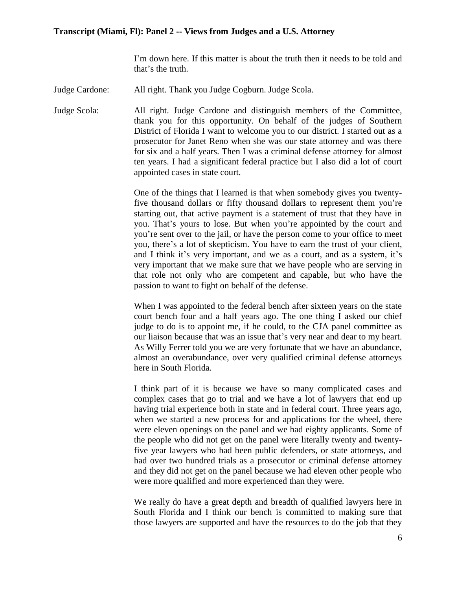I'm down here. If this matter is about the truth then it needs to be told and that's the truth.

Judge Cardone: All right. Thank you Judge Cogburn. Judge Scola.

Judge Scola: All right. Judge Cardone and distinguish members of the Committee, thank you for this opportunity. On behalf of the judges of Southern District of Florida I want to welcome you to our district. I started out as a prosecutor for Janet Reno when she was our state attorney and was there for six and a half years. Then I was a criminal defense attorney for almost ten years. I had a significant federal practice but I also did a lot of court appointed cases in state court.

> One of the things that I learned is that when somebody gives you twentyfive thousand dollars or fifty thousand dollars to represent them you're starting out, that active payment is a statement of trust that they have in you. That's yours to lose. But when you're appointed by the court and you're sent over to the jail, or have the person come to your office to meet you, there's a lot of skepticism. You have to earn the trust of your client, and I think it's very important, and we as a court, and as a system, it's very important that we make sure that we have people who are serving in that role not only who are competent and capable, but who have the passion to want to fight on behalf of the defense.

> When I was appointed to the federal bench after sixteen years on the state court bench four and a half years ago. The one thing I asked our chief judge to do is to appoint me, if he could, to the CJA panel committee as our liaison because that was an issue that's very near and dear to my heart. As Willy Ferrer told you we are very fortunate that we have an abundance, almost an overabundance, over very qualified criminal defense attorneys here in South Florida.

> I think part of it is because we have so many complicated cases and complex cases that go to trial and we have a lot of lawyers that end up having trial experience both in state and in federal court. Three years ago, when we started a new process for and applications for the wheel, there were eleven openings on the panel and we had eighty applicants. Some of the people who did not get on the panel were literally twenty and twentyfive year lawyers who had been public defenders, or state attorneys, and had over two hundred trials as a prosecutor or criminal defense attorney and they did not get on the panel because we had eleven other people who were more qualified and more experienced than they were.

> We really do have a great depth and breadth of qualified lawyers here in South Florida and I think our bench is committed to making sure that those lawyers are supported and have the resources to do the job that they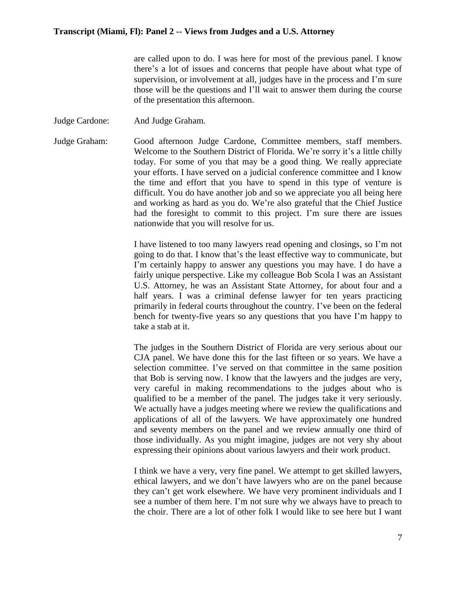are called upon to do. I was here for most of the previous panel. I know there's a lot of issues and concerns that people have about what type of supervision, or involvement at all, judges have in the process and I'm sure those will be the questions and I'll wait to answer them during the course of the presentation this afternoon.

Judge Cardone: And Judge Graham.

Judge Graham: Good afternoon Judge Cardone, Committee members, staff members. Welcome to the Southern District of Florida. We're sorry it's a little chilly today. For some of you that may be a good thing. We really appreciate your efforts. I have served on a judicial conference committee and I know the time and effort that you have to spend in this type of venture is difficult. You do have another job and so we appreciate you all being here and working as hard as you do. We're also grateful that the Chief Justice had the foresight to commit to this project. I'm sure there are issues nationwide that you will resolve for us.

> I have listened to too many lawyers read opening and closings, so I'm not going to do that. I know that's the least effective way to communicate, but I'm certainly happy to answer any questions you may have. I do have a fairly unique perspective. Like my colleague Bob Scola I was an Assistant U.S. Attorney, he was an Assistant State Attorney, for about four and a half years. I was a criminal defense lawyer for ten years practicing primarily in federal courts throughout the country. I've been on the federal bench for twenty-five years so any questions that you have I'm happy to take a stab at it.

> The judges in the Southern District of Florida are very serious about our CJA panel. We have done this for the last fifteen or so years. We have a selection committee. I've served on that committee in the same position that Bob is serving now. I know that the lawyers and the judges are very, very careful in making recommendations to the judges about who is qualified to be a member of the panel. The judges take it very seriously. We actually have a judges meeting where we review the qualifications and applications of all of the lawyers. We have approximately one hundred and seventy members on the panel and we review annually one third of those individually. As you might imagine, judges are not very shy about expressing their opinions about various lawyers and their work product.

> I think we have a very, very fine panel. We attempt to get skilled lawyers, ethical lawyers, and we don't have lawyers who are on the panel because they can't get work elsewhere. We have very prominent individuals and I see a number of them here. I'm not sure why we always have to preach to the choir. There are a lot of other folk I would like to see here but I want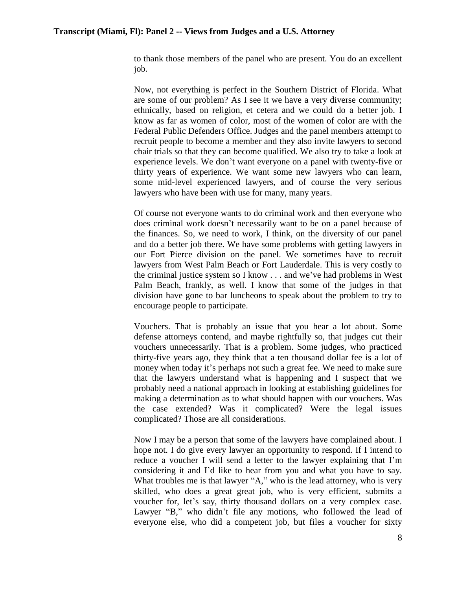to thank those members of the panel who are present. You do an excellent job.

Now, not everything is perfect in the Southern District of Florida. What are some of our problem? As I see it we have a very diverse community; ethnically, based on religion, et cetera and we could do a better job. I know as far as women of color, most of the women of color are with the Federal Public Defenders Office. Judges and the panel members attempt to recruit people to become a member and they also invite lawyers to second chair trials so that they can become qualified. We also try to take a look at experience levels. We don't want everyone on a panel with twenty-five or thirty years of experience. We want some new lawyers who can learn, some mid-level experienced lawyers, and of course the very serious lawyers who have been with use for many, many years.

Of course not everyone wants to do criminal work and then everyone who does criminal work doesn't necessarily want to be on a panel because of the finances. So, we need to work, I think, on the diversity of our panel and do a better job there. We have some problems with getting lawyers in our Fort Pierce division on the panel. We sometimes have to recruit lawyers from West Palm Beach or Fort Lauderdale. This is very costly to the criminal justice system so I know . . . and we've had problems in West Palm Beach, frankly, as well. I know that some of the judges in that division have gone to bar luncheons to speak about the problem to try to encourage people to participate.

Vouchers. That is probably an issue that you hear a lot about. Some defense attorneys contend, and maybe rightfully so, that judges cut their vouchers unnecessarily. That is a problem. Some judges, who practiced thirty-five years ago, they think that a ten thousand dollar fee is a lot of money when today it's perhaps not such a great fee. We need to make sure that the lawyers understand what is happening and I suspect that we probably need a national approach in looking at establishing guidelines for making a determination as to what should happen with our vouchers. Was the case extended? Was it complicated? Were the legal issues complicated? Those are all considerations.

Now I may be a person that some of the lawyers have complained about. I hope not. I do give every lawyer an opportunity to respond. If I intend to reduce a voucher I will send a letter to the lawyer explaining that I'm considering it and I'd like to hear from you and what you have to say. What troubles me is that lawyer "A," who is the lead attorney, who is very skilled, who does a great great job, who is very efficient, submits a voucher for, let's say, thirty thousand dollars on a very complex case. Lawyer "B," who didn't file any motions, who followed the lead of everyone else, who did a competent job, but files a voucher for sixty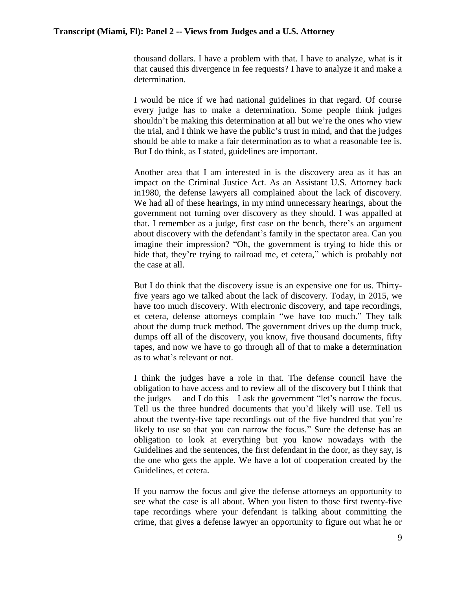thousand dollars. I have a problem with that. I have to analyze, what is it that caused this divergence in fee requests? I have to analyze it and make a determination.

I would be nice if we had national guidelines in that regard. Of course every judge has to make a determination. Some people think judges shouldn't be making this determination at all but we're the ones who view the trial, and I think we have the public's trust in mind, and that the judges should be able to make a fair determination as to what a reasonable fee is. But I do think, as I stated, guidelines are important.

Another area that I am interested in is the discovery area as it has an impact on the Criminal Justice Act. As an Assistant U.S. Attorney back in1980, the defense lawyers all complained about the lack of discovery. We had all of these hearings, in my mind unnecessary hearings, about the government not turning over discovery as they should. I was appalled at that. I remember as a judge, first case on the bench, there's an argument about discovery with the defendant's family in the spectator area. Can you imagine their impression? "Oh, the government is trying to hide this or hide that, they're trying to railroad me, et cetera," which is probably not the case at all.

But I do think that the discovery issue is an expensive one for us. Thirtyfive years ago we talked about the lack of discovery. Today, in 2015, we have too much discovery. With electronic discovery, and tape recordings, et cetera, defense attorneys complain "we have too much." They talk about the dump truck method. The government drives up the dump truck, dumps off all of the discovery, you know, five thousand documents, fifty tapes, and now we have to go through all of that to make a determination as to what's relevant or not.

I think the judges have a role in that. The defense council have the obligation to have access and to review all of the discovery but I think that the judges —and I do this—I ask the government "let's narrow the focus. Tell us the three hundred documents that you'd likely will use. Tell us about the twenty-five tape recordings out of the five hundred that you're likely to use so that you can narrow the focus." Sure the defense has an obligation to look at everything but you know nowadays with the Guidelines and the sentences, the first defendant in the door, as they say, is the one who gets the apple. We have a lot of cooperation created by the Guidelines, et cetera.

If you narrow the focus and give the defense attorneys an opportunity to see what the case is all about. When you listen to those first twenty-five tape recordings where your defendant is talking about committing the crime, that gives a defense lawyer an opportunity to figure out what he or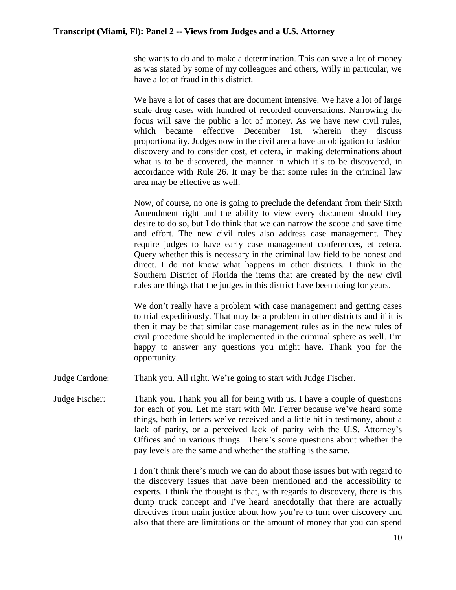she wants to do and to make a determination. This can save a lot of money as was stated by some of my colleagues and others, Willy in particular, we have a lot of fraud in this district.

We have a lot of cases that are document intensive. We have a lot of large scale drug cases with hundred of recorded conversations. Narrowing the focus will save the public a lot of money. As we have new civil rules, which became effective December 1st, wherein they discuss proportionality. Judges now in the civil arena have an obligation to fashion discovery and to consider cost, et cetera, in making determinations about what is to be discovered, the manner in which it's to be discovered, in accordance with Rule 26. It may be that some rules in the criminal law area may be effective as well.

Now, of course, no one is going to preclude the defendant from their Sixth Amendment right and the ability to view every document should they desire to do so, but I do think that we can narrow the scope and save time and effort. The new civil rules also address case management. They require judges to have early case management conferences, et cetera. Query whether this is necessary in the criminal law field to be honest and direct. I do not know what happens in other districts. I think in the Southern District of Florida the items that are created by the new civil rules are things that the judges in this district have been doing for years.

We don't really have a problem with case management and getting cases to trial expeditiously. That may be a problem in other districts and if it is then it may be that similar case management rules as in the new rules of civil procedure should be implemented in the criminal sphere as well. I'm happy to answer any questions you might have. Thank you for the opportunity.

Judge Cardone: Thank you. All right. We're going to start with Judge Fischer.

Judge Fischer: Thank you. Thank you all for being with us. I have a couple of questions for each of you. Let me start with Mr. Ferrer because we've heard some things, both in letters we've received and a little bit in testimony, about a lack of parity, or a perceived lack of parity with the U.S. Attorney's Offices and in various things. There's some questions about whether the pay levels are the same and whether the staffing is the same.

> I don't think there's much we can do about those issues but with regard to the discovery issues that have been mentioned and the accessibility to experts. I think the thought is that, with regards to discovery, there is this dump truck concept and I've heard anecdotally that there are actually directives from main justice about how you're to turn over discovery and also that there are limitations on the amount of money that you can spend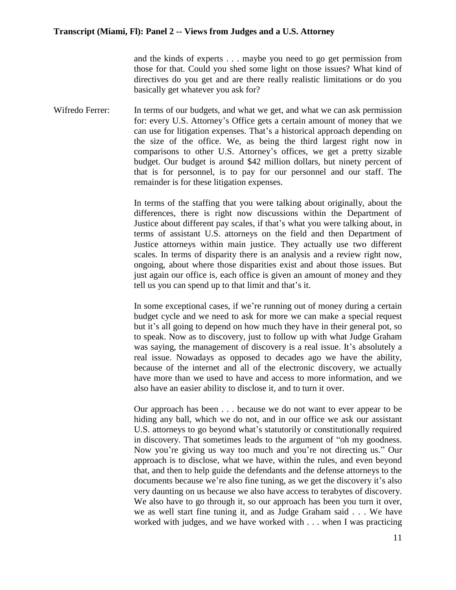and the kinds of experts . . . maybe you need to go get permission from those for that. Could you shed some light on those issues? What kind of directives do you get and are there really realistic limitations or do you basically get whatever you ask for?

Wifredo Ferrer: In terms of our budgets, and what we get, and what we can ask permission for: every U.S. Attorney's Office gets a certain amount of money that we can use for litigation expenses. That's a historical approach depending on the size of the office. We, as being the third largest right now in comparisons to other U.S. Attorney's offices, we get a pretty sizable budget. Our budget is around \$42 million dollars, but ninety percent of that is for personnel, is to pay for our personnel and our staff. The remainder is for these litigation expenses.

> In terms of the staffing that you were talking about originally, about the differences, there is right now discussions within the Department of Justice about different pay scales, if that's what you were talking about, in terms of assistant U.S. attorneys on the field and then Department of Justice attorneys within main justice. They actually use two different scales. In terms of disparity there is an analysis and a review right now, ongoing, about where those disparities exist and about those issues. But just again our office is, each office is given an amount of money and they tell us you can spend up to that limit and that's it.

> In some exceptional cases, if we're running out of money during a certain budget cycle and we need to ask for more we can make a special request but it's all going to depend on how much they have in their general pot, so to speak. Now as to discovery, just to follow up with what Judge Graham was saying, the management of discovery is a real issue. It's absolutely a real issue. Nowadays as opposed to decades ago we have the ability, because of the internet and all of the electronic discovery, we actually have more than we used to have and access to more information, and we also have an easier ability to disclose it, and to turn it over.

> Our approach has been . . . because we do not want to ever appear to be hiding any ball, which we do not, and in our office we ask our assistant U.S. attorneys to go beyond what's statutorily or constitutionally required in discovery. That sometimes leads to the argument of "oh my goodness. Now you're giving us way too much and you're not directing us." Our approach is to disclose, what we have, within the rules, and even beyond that, and then to help guide the defendants and the defense attorneys to the documents because we're also fine tuning, as we get the discovery it's also very daunting on us because we also have access to terabytes of discovery. We also have to go through it, so our approach has been you turn it over, we as well start fine tuning it, and as Judge Graham said . . . We have worked with judges, and we have worked with . . . when I was practicing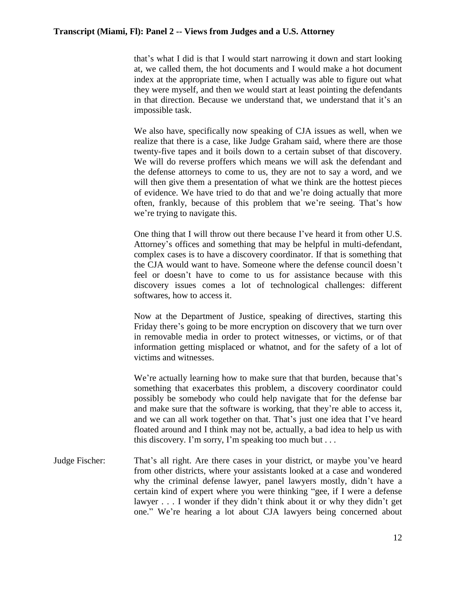that's what I did is that I would start narrowing it down and start looking at, we called them, the hot documents and I would make a hot document index at the appropriate time, when I actually was able to figure out what they were myself, and then we would start at least pointing the defendants in that direction. Because we understand that, we understand that it's an impossible task.

We also have, specifically now speaking of CJA issues as well, when we realize that there is a case, like Judge Graham said, where there are those twenty-five tapes and it boils down to a certain subset of that discovery. We will do reverse proffers which means we will ask the defendant and the defense attorneys to come to us, they are not to say a word, and we will then give them a presentation of what we think are the hottest pieces of evidence. We have tried to do that and we're doing actually that more often, frankly, because of this problem that we're seeing. That's how we're trying to navigate this.

One thing that I will throw out there because I've heard it from other U.S. Attorney's offices and something that may be helpful in multi-defendant, complex cases is to have a discovery coordinator. If that is something that the CJA would want to have. Someone where the defense council doesn't feel or doesn't have to come to us for assistance because with this discovery issues comes a lot of technological challenges: different softwares, how to access it.

Now at the Department of Justice, speaking of directives, starting this Friday there's going to be more encryption on discovery that we turn over in removable media in order to protect witnesses, or victims, or of that information getting misplaced or whatnot, and for the safety of a lot of victims and witnesses.

We're actually learning how to make sure that that burden, because that's something that exacerbates this problem, a discovery coordinator could possibly be somebody who could help navigate that for the defense bar and make sure that the software is working, that they're able to access it, and we can all work together on that. That's just one idea that I've heard floated around and I think may not be, actually, a bad idea to help us with this discovery. I'm sorry, I'm speaking too much but . . .

Judge Fischer: That's all right. Are there cases in your district, or maybe you've heard from other districts, where your assistants looked at a case and wondered why the criminal defense lawyer, panel lawyers mostly, didn't have a certain kind of expert where you were thinking "gee, if I were a defense lawyer . . . I wonder if they didn't think about it or why they didn't get one." We're hearing a lot about CJA lawyers being concerned about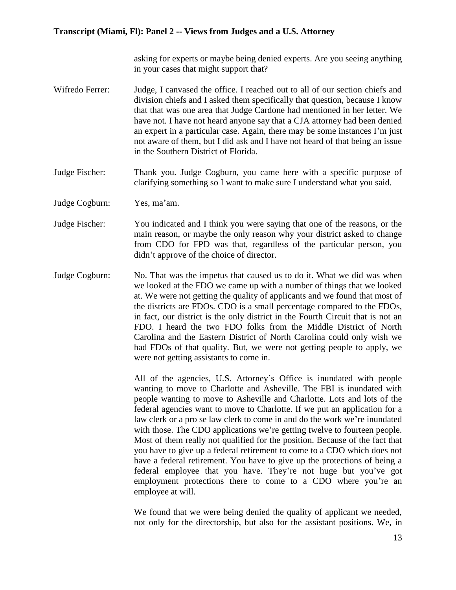asking for experts or maybe being denied experts. Are you seeing anything in your cases that might support that?

- Wifredo Ferrer: Judge, I canvased the office. I reached out to all of our section chiefs and division chiefs and I asked them specifically that question, because I know that that was one area that Judge Cardone had mentioned in her letter. We have not. I have not heard anyone say that a CJA attorney had been denied an expert in a particular case. Again, there may be some instances I'm just not aware of them, but I did ask and I have not heard of that being an issue in the Southern District of Florida.
- Judge Fischer: Thank you. Judge Cogburn, you came here with a specific purpose of clarifying something so I want to make sure I understand what you said.
- Judge Cogburn: Yes, ma'am.
- Judge Fischer: You indicated and I think you were saying that one of the reasons, or the main reason, or maybe the only reason why your district asked to change from CDO for FPD was that, regardless of the particular person, you didn't approve of the choice of director.
- Judge Cogburn: No. That was the impetus that caused us to do it. What we did was when we looked at the FDO we came up with a number of things that we looked at. We were not getting the quality of applicants and we found that most of the districts are FDOs. CDO is a small percentage compared to the FDOs, in fact, our district is the only district in the Fourth Circuit that is not an FDO. I heard the two FDO folks from the Middle District of North Carolina and the Eastern District of North Carolina could only wish we had FDOs of that quality. But, we were not getting people to apply, we were not getting assistants to come in.

All of the agencies, U.S. Attorney's Office is inundated with people wanting to move to Charlotte and Asheville. The FBI is inundated with people wanting to move to Asheville and Charlotte. Lots and lots of the federal agencies want to move to Charlotte. If we put an application for a law clerk or a pro se law clerk to come in and do the work we're inundated with those. The CDO applications we're getting twelve to fourteen people. Most of them really not qualified for the position. Because of the fact that you have to give up a federal retirement to come to a CDO which does not have a federal retirement. You have to give up the protections of being a federal employee that you have. They're not huge but you've got employment protections there to come to a CDO where you're an employee at will.

We found that we were being denied the quality of applicant we needed, not only for the directorship, but also for the assistant positions. We, in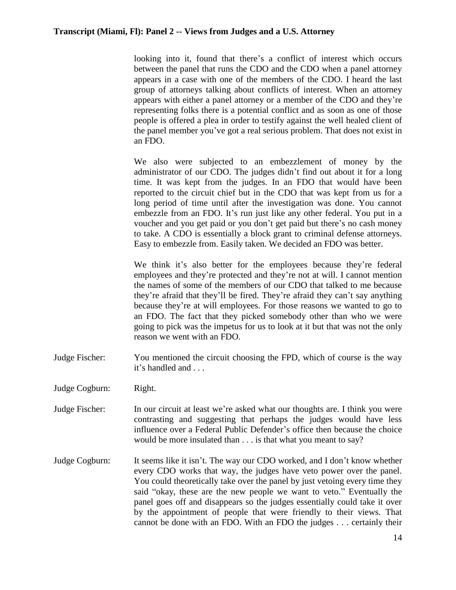looking into it, found that there's a conflict of interest which occurs between the panel that runs the CDO and the CDO when a panel attorney appears in a case with one of the members of the CDO. I heard the last group of attorneys talking about conflicts of interest. When an attorney appears with either a panel attorney or a member of the CDO and they're representing folks there is a potential conflict and as soon as one of those people is offered a plea in order to testify against the well healed client of the panel member you've got a real serious problem. That does not exist in an FDO.

We also were subjected to an embezzlement of money by the administrator of our CDO. The judges didn't find out about it for a long time. It was kept from the judges. In an FDO that would have been reported to the circuit chief but in the CDO that was kept from us for a long period of time until after the investigation was done. You cannot embezzle from an FDO. It's run just like any other federal. You put in a voucher and you get paid or you don't get paid but there's no cash money to take. A CDO is essentially a block grant to criminal defense attorneys. Easy to embezzle from. Easily taken. We decided an FDO was better.

We think it's also better for the employees because they're federal employees and they're protected and they're not at will. I cannot mention the names of some of the members of our CDO that talked to me because they're afraid that they'll be fired. They're afraid they can't say anything because they're at will employees. For those reasons we wanted to go to an FDO. The fact that they picked somebody other than who we were going to pick was the impetus for us to look at it but that was not the only reason we went with an FDO.

- Judge Fischer: You mentioned the circuit choosing the FPD, which of course is the way it's handled and . . .
- Judge Cogburn: Right.
- Judge Fischer: In our circuit at least we're asked what our thoughts are. I think you were contrasting and suggesting that perhaps the judges would have less influence over a Federal Public Defender's office then because the choice would be more insulated than . . . is that what you meant to say?
- Judge Cogburn: It seems like it isn't. The way our CDO worked, and I don't know whether every CDO works that way, the judges have veto power over the panel. You could theoretically take over the panel by just vetoing every time they said "okay, these are the new people we want to veto." Eventually the panel goes off and disappears so the judges essentially could take it over by the appointment of people that were friendly to their views. That cannot be done with an FDO. With an FDO the judges . . . certainly their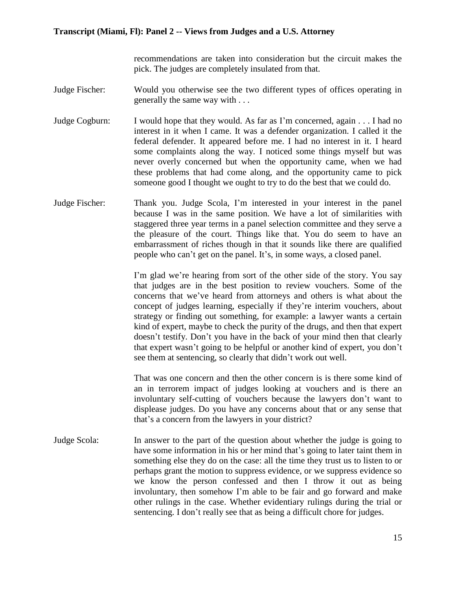recommendations are taken into consideration but the circuit makes the pick. The judges are completely insulated from that.

- Judge Fischer: Would you otherwise see the two different types of offices operating in generally the same way with . . .
- Judge Cogburn: I would hope that they would. As far as I'm concerned, again . . . I had no interest in it when I came. It was a defender organization. I called it the federal defender. It appeared before me. I had no interest in it. I heard some complaints along the way. I noticed some things myself but was never overly concerned but when the opportunity came, when we had these problems that had come along, and the opportunity came to pick someone good I thought we ought to try to do the best that we could do.
- Judge Fischer: Thank you. Judge Scola, I'm interested in your interest in the panel because I was in the same position. We have a lot of similarities with staggered three year terms in a panel selection committee and they serve a the pleasure of the court. Things like that. You do seem to have an embarrassment of riches though in that it sounds like there are qualified people who can't get on the panel. It's, in some ways, a closed panel.

I'm glad we're hearing from sort of the other side of the story. You say that judges are in the best position to review vouchers. Some of the concerns that we've heard from attorneys and others is what about the concept of judges learning, especially if they're interim vouchers, about strategy or finding out something, for example: a lawyer wants a certain kind of expert, maybe to check the purity of the drugs, and then that expert doesn't testify. Don't you have in the back of your mind then that clearly that expert wasn't going to be helpful or another kind of expert, you don't see them at sentencing, so clearly that didn't work out well.

That was one concern and then the other concern is is there some kind of an in terrorem impact of judges looking at vouchers and is there an involuntary self-cutting of vouchers because the lawyers don't want to displease judges. Do you have any concerns about that or any sense that that's a concern from the lawyers in your district?

Judge Scola: In answer to the part of the question about whether the judge is going to have some information in his or her mind that's going to later taint them in something else they do on the case: all the time they trust us to listen to or perhaps grant the motion to suppress evidence, or we suppress evidence so we know the person confessed and then I throw it out as being involuntary, then somehow I'm able to be fair and go forward and make other rulings in the case. Whether evidentiary rulings during the trial or sentencing. I don't really see that as being a difficult chore for judges.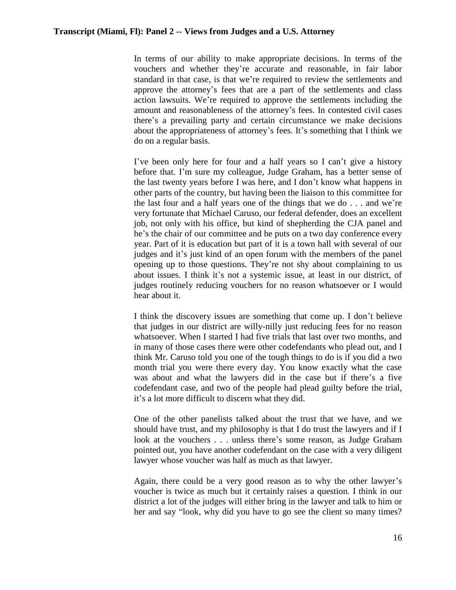In terms of our ability to make appropriate decisions. In terms of the vouchers and whether they're accurate and reasonable, in fair labor standard in that case, is that we're required to review the settlements and approve the attorney's fees that are a part of the settlements and class action lawsuits. We're required to approve the settlements including the amount and reasonableness of the attorney's fees. In contested civil cases there's a prevailing party and certain circumstance we make decisions about the appropriateness of attorney's fees. It's something that I think we do on a regular basis.

I've been only here for four and a half years so I can't give a history before that. I'm sure my colleague, Judge Graham, has a better sense of the last twenty years before I was here, and I don't know what happens in other parts of the country, but having been the liaison to this committee for the last four and a half years one of the things that we do . . . and we're very fortunate that Michael Caruso, our federal defender, does an excellent job, not only with his office, but kind of shepherding the CJA panel and he's the chair of our committee and he puts on a two day conference every year. Part of it is education but part of it is a town hall with several of our judges and it's just kind of an open forum with the members of the panel opening up to those questions. They're not shy about complaining to us about issues. I think it's not a systemic issue, at least in our district, of judges routinely reducing vouchers for no reason whatsoever or I would hear about it.

I think the discovery issues are something that come up. I don't believe that judges in our district are willy-nilly just reducing fees for no reason whatsoever. When I started I had five trials that last over two months, and in many of those cases there were other codefendants who plead out, and I think Mr. Caruso told you one of the tough things to do is if you did a two month trial you were there every day. You know exactly what the case was about and what the lawyers did in the case but if there's a five codefendant case, and two of the people had plead guilty before the trial, it's a lot more difficult to discern what they did.

One of the other panelists talked about the trust that we have, and we should have trust, and my philosophy is that I do trust the lawyers and if I look at the vouchers . . . unless there's some reason, as Judge Graham pointed out, you have another codefendant on the case with a very diligent lawyer whose voucher was half as much as that lawyer.

Again, there could be a very good reason as to why the other lawyer's voucher is twice as much but it certainly raises a question. I think in our district a lot of the judges will either bring in the lawyer and talk to him or her and say "look, why did you have to go see the client so many times?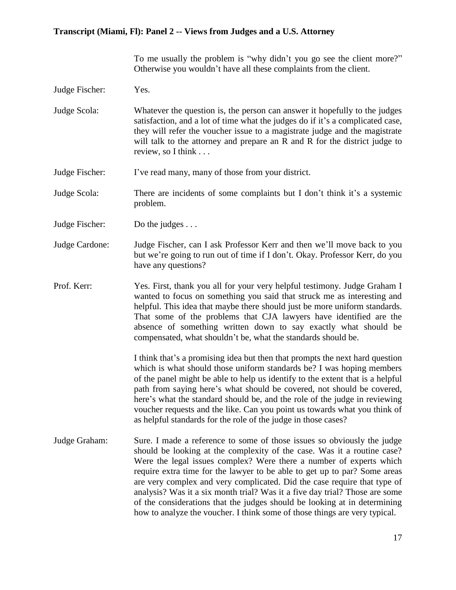To me usually the problem is "why didn't you go see the client more?" Otherwise you wouldn't have all these complaints from the client.

Judge Fischer: Yes.

Judge Scola: Whatever the question is, the person can answer it hopefully to the judges satisfaction, and a lot of time what the judges do if it's a complicated case, they will refer the voucher issue to a magistrate judge and the magistrate will talk to the attorney and prepare an R and R for the district judge to review, so I think . . .

- Judge Fischer: I've read many, many of those from your district.
- Judge Scola: There are incidents of some complaints but I don't think it's a systemic problem.
- Judge Fischer: Do the judges . . .
- Judge Cardone: Judge Fischer, can I ask Professor Kerr and then we'll move back to you but we're going to run out of time if I don't. Okay. Professor Kerr, do you have any questions?
- Prof. Kerr: Yes. First, thank you all for your very helpful testimony. Judge Graham I wanted to focus on something you said that struck me as interesting and helpful. This idea that maybe there should just be more uniform standards. That some of the problems that CJA lawyers have identified are the absence of something written down to say exactly what should be compensated, what shouldn't be, what the standards should be.

I think that's a promising idea but then that prompts the next hard question which is what should those uniform standards be? I was hoping members of the panel might be able to help us identify to the extent that is a helpful path from saying here's what should be covered, not should be covered, here's what the standard should be, and the role of the judge in reviewing voucher requests and the like. Can you point us towards what you think of as helpful standards for the role of the judge in those cases?

Judge Graham: Sure. I made a reference to some of those issues so obviously the judge should be looking at the complexity of the case. Was it a routine case? Were the legal issues complex? Were there a number of experts which require extra time for the lawyer to be able to get up to par? Some areas are very complex and very complicated. Did the case require that type of analysis? Was it a six month trial? Was it a five day trial? Those are some of the considerations that the judges should be looking at in determining how to analyze the voucher. I think some of those things are very typical.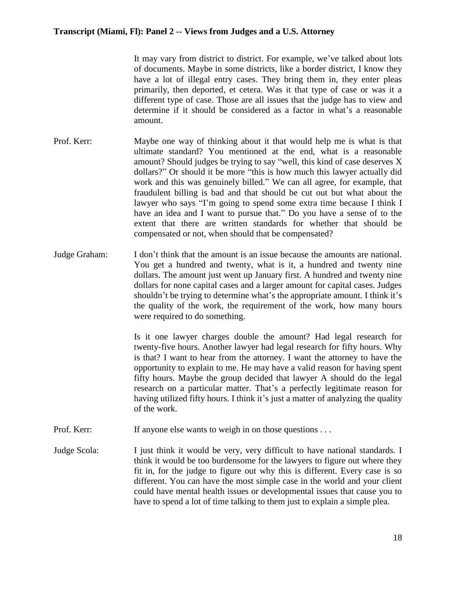It may vary from district to district. For example, we've talked about lots of documents. Maybe in some districts, like a border district, I know they have a lot of illegal entry cases. They bring them in, they enter pleas primarily, then deported, et cetera. Was it that type of case or was it a different type of case. Those are all issues that the judge has to view and determine if it should be considered as a factor in what's a reasonable amount.

- Prof. Kerr: Maybe one way of thinking about it that would help me is what is that ultimate standard? You mentioned at the end, what is a reasonable amount? Should judges be trying to say "well, this kind of case deserves X dollars?" Or should it be more "this is how much this lawyer actually did work and this was genuinely billed." We can all agree, for example, that fraudulent billing is bad and that should be cut out but what about the lawyer who says "I'm going to spend some extra time because I think I have an idea and I want to pursue that." Do you have a sense of to the extent that there are written standards for whether that should be compensated or not, when should that be compensated?
- Judge Graham: I don't think that the amount is an issue because the amounts are national. You get a hundred and twenty, what is it, a hundred and twenty nine dollars. The amount just went up January first. A hundred and twenty nine dollars for none capital cases and a larger amount for capital cases. Judges shouldn't be trying to determine what's the appropriate amount. I think it's the quality of the work, the requirement of the work, how many hours were required to do something.

Is it one lawyer charges double the amount? Had legal research for twenty-five hours. Another lawyer had legal research for fifty hours. Why is that? I want to hear from the attorney. I want the attorney to have the opportunity to explain to me. He may have a valid reason for having spent fifty hours. Maybe the group decided that lawyer A should do the legal research on a particular matter. That's a perfectly legitimate reason for having utilized fifty hours. I think it's just a matter of analyzing the quality of the work.

Prof. Kerr: If anyone else wants to weigh in on those questions . . .

Judge Scola: I just think it would be very, very difficult to have national standards. I think it would be too burdensome for the lawyers to figure out where they fit in, for the judge to figure out why this is different. Every case is so different. You can have the most simple case in the world and your client could have mental health issues or developmental issues that cause you to have to spend a lot of time talking to them just to explain a simple plea.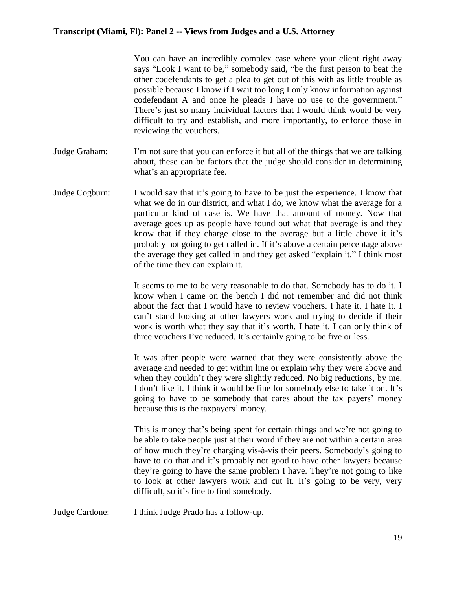You can have an incredibly complex case where your client right away says "Look I want to be," somebody said, "be the first person to beat the other codefendants to get a plea to get out of this with as little trouble as possible because I know if I wait too long I only know information against codefendant A and once he pleads I have no use to the government." There's just so many individual factors that I would think would be very difficult to try and establish, and more importantly, to enforce those in reviewing the vouchers.

- Judge Graham: I'm not sure that you can enforce it but all of the things that we are talking about, these can be factors that the judge should consider in determining what's an appropriate fee.
- Judge Cogburn: I would say that it's going to have to be just the experience. I know that what we do in our district, and what I do, we know what the average for a particular kind of case is. We have that amount of money. Now that average goes up as people have found out what that average is and they know that if they charge close to the average but a little above it it's probably not going to get called in. If it's above a certain percentage above the average they get called in and they get asked "explain it." I think most of the time they can explain it.

It seems to me to be very reasonable to do that. Somebody has to do it. I know when I came on the bench I did not remember and did not think about the fact that I would have to review vouchers. I hate it. I hate it. I can't stand looking at other lawyers work and trying to decide if their work is worth what they say that it's worth. I hate it. I can only think of three vouchers I've reduced. It's certainly going to be five or less.

It was after people were warned that they were consistently above the average and needed to get within line or explain why they were above and when they couldn't they were slightly reduced. No big reductions, by me. I don't like it. I think it would be fine for somebody else to take it on. It's going to have to be somebody that cares about the tax payers' money because this is the taxpayers' money.

This is money that's being spent for certain things and we're not going to be able to take people just at their word if they are not within a certain area of how much they're charging vis-à-vis their peers. Somebody's going to have to do that and it's probably not good to have other lawyers because they're going to have the same problem I have. They're not going to like to look at other lawyers work and cut it. It's going to be very, very difficult, so it's fine to find somebody.

Judge Cardone: I think Judge Prado has a follow-up.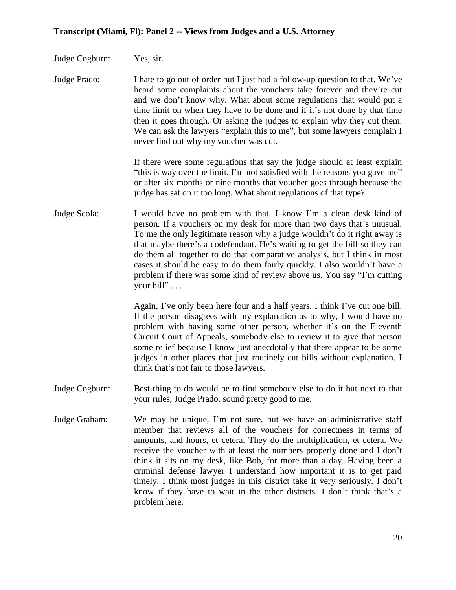- Judge Cogburn: Yes, sir.
- Judge Prado: I hate to go out of order but I just had a follow-up question to that. We've heard some complaints about the vouchers take forever and they're cut and we don't know why. What about some regulations that would put a time limit on when they have to be done and if it's not done by that time then it goes through. Or asking the judges to explain why they cut them. We can ask the lawyers "explain this to me", but some lawyers complain I never find out why my voucher was cut.

If there were some regulations that say the judge should at least explain "this is way over the limit. I'm not satisfied with the reasons you gave me" or after six months or nine months that voucher goes through because the judge has sat on it too long. What about regulations of that type?

Judge Scola: I would have no problem with that. I know I'm a clean desk kind of person. If a vouchers on my desk for more than two days that's unusual. To me the only legitimate reason why a judge wouldn't do it right away is that maybe there's a codefendant. He's waiting to get the bill so they can do them all together to do that comparative analysis, but I think in most cases it should be easy to do them fairly quickly. I also wouldn't have a problem if there was some kind of review above us. You say "I'm cutting your bill" . . .

> Again, I've only been here four and a half years. I think I've cut one bill. If the person disagrees with my explanation as to why, I would have no problem with having some other person, whether it's on the Eleventh Circuit Court of Appeals, somebody else to review it to give that person some relief because I know just anecdotally that there appear to be some judges in other places that just routinely cut bills without explanation. I think that's not fair to those lawyers.

- Judge Cogburn: Best thing to do would be to find somebody else to do it but next to that your rules, Judge Prado, sound pretty good to me.
- Judge Graham: We may be unique, I'm not sure, but we have an administrative staff member that reviews all of the vouchers for correctness in terms of amounts, and hours, et cetera. They do the multiplication, et cetera. We receive the voucher with at least the numbers properly done and I don't think it sits on my desk, like Bob, for more than a day. Having been a criminal defense lawyer I understand how important it is to get paid timely. I think most judges in this district take it very seriously. I don't know if they have to wait in the other districts. I don't think that's a problem here.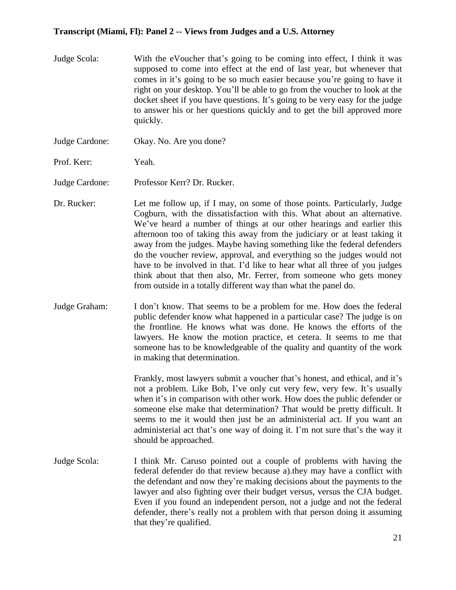- Judge Scola: With the eVoucher that's going to be coming into effect, I think it was supposed to come into effect at the end of last year, but whenever that comes in it's going to be so much easier because you're going to have it right on your desktop. You'll be able to go from the voucher to look at the docket sheet if you have questions. It's going to be very easy for the judge to answer his or her questions quickly and to get the bill approved more quickly.
- Judge Cardone: Okay. No. Are you done?
- Prof. Kerr: Yeah.

Judge Cardone: Professor Kerr? Dr. Rucker.

- Dr. Rucker: Let me follow up, if I may, on some of those points. Particularly, Judge Cogburn, with the dissatisfaction with this. What about an alternative. We've heard a number of things at our other hearings and earlier this afternoon too of taking this away from the judiciary or at least taking it away from the judges. Maybe having something like the federal defenders do the voucher review, approval, and everything so the judges would not have to be involved in that. I'd like to hear what all three of you judges think about that then also, Mr. Ferrer, from someone who gets money from outside in a totally different way than what the panel do.
- Judge Graham: I don't know. That seems to be a problem for me. How does the federal public defender know what happened in a particular case? The judge is on the frontline. He knows what was done. He knows the efforts of the lawyers. He know the motion practice, et cetera. It seems to me that someone has to be knowledgeable of the quality and quantity of the work in making that determination.

Frankly, most lawyers submit a voucher that's honest, and ethical, and it's not a problem. Like Bob, I've only cut very few, very few. It's usually when it's in comparison with other work. How does the public defender or someone else make that determination? That would be pretty difficult. It seems to me it would then just be an administerial act. If you want an administerial act that's one way of doing it. I'm not sure that's the way it should be approached.

Judge Scola: I think Mr. Caruso pointed out a couple of problems with having the federal defender do that review because a).they may have a conflict with the defendant and now they're making decisions about the payments to the lawyer and also fighting over their budget versus, versus the CJA budget. Even if you found an independent person, not a judge and not the federal defender, there's really not a problem with that person doing it assuming that they're qualified.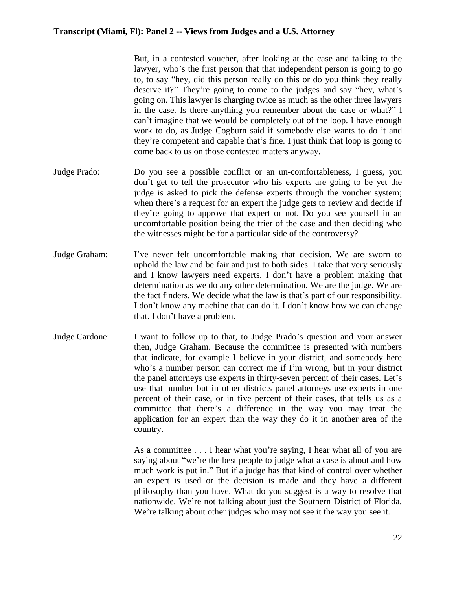But, in a contested voucher, after looking at the case and talking to the lawyer, who's the first person that that independent person is going to go to, to say "hey, did this person really do this or do you think they really deserve it?" They're going to come to the judges and say "hey, what's going on. This lawyer is charging twice as much as the other three lawyers in the case. Is there anything you remember about the case or what?" I can't imagine that we would be completely out of the loop. I have enough work to do, as Judge Cogburn said if somebody else wants to do it and they're competent and capable that's fine. I just think that loop is going to come back to us on those contested matters anyway.

- Judge Prado: Do you see a possible conflict or an un-comfortableness, I guess, you don't get to tell the prosecutor who his experts are going to be yet the judge is asked to pick the defense experts through the voucher system; when there's a request for an expert the judge gets to review and decide if they're going to approve that expert or not. Do you see yourself in an uncomfortable position being the trier of the case and then deciding who the witnesses might be for a particular side of the controversy?
- Judge Graham: I've never felt uncomfortable making that decision. We are sworn to uphold the law and be fair and just to both sides. I take that very seriously and I know lawyers need experts. I don't have a problem making that determination as we do any other determination. We are the judge. We are the fact finders. We decide what the law is that's part of our responsibility. I don't know any machine that can do it. I don't know how we can change that. I don't have a problem.
- Judge Cardone: I want to follow up to that, to Judge Prado's question and your answer then, Judge Graham. Because the committee is presented with numbers that indicate, for example I believe in your district, and somebody here who's a number person can correct me if I'm wrong, but in your district the panel attorneys use experts in thirty-seven percent of their cases. Let's use that number but in other districts panel attorneys use experts in one percent of their case, or in five percent of their cases, that tells us as a committee that there's a difference in the way you may treat the application for an expert than the way they do it in another area of the country.

As a committee . . . I hear what you're saying, I hear what all of you are saying about "we're the best people to judge what a case is about and how much work is put in." But if a judge has that kind of control over whether an expert is used or the decision is made and they have a different philosophy than you have. What do you suggest is a way to resolve that nationwide. We're not talking about just the Southern District of Florida. We're talking about other judges who may not see it the way you see it.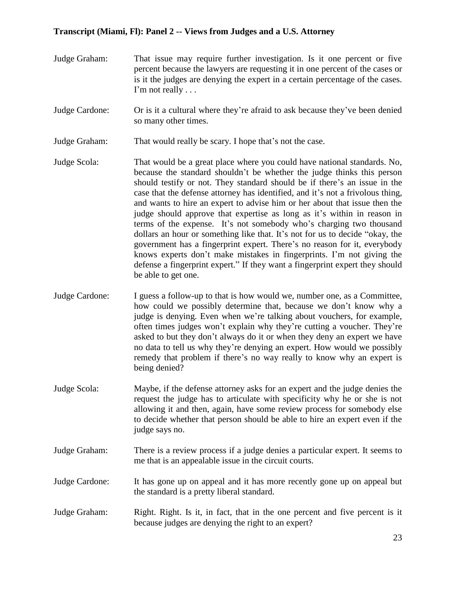- Judge Graham: That issue may require further investigation. Is it one percent or five percent because the lawyers are requesting it in one percent of the cases or is it the judges are denying the expert in a certain percentage of the cases. I'm not really . . .
- Judge Cardone: Or is it a cultural where they're afraid to ask because they've been denied so many other times.
- Judge Graham: That would really be scary. I hope that's not the case.
- Judge Scola: That would be a great place where you could have national standards. No, because the standard shouldn't be whether the judge thinks this person should testify or not. They standard should be if there's an issue in the case that the defense attorney has identified, and it's not a frivolous thing, and wants to hire an expert to advise him or her about that issue then the judge should approve that expertise as long as it's within in reason in terms of the expense. It's not somebody who's charging two thousand dollars an hour or something like that. It's not for us to decide "okay, the government has a fingerprint expert. There's no reason for it, everybody knows experts don't make mistakes in fingerprints. I'm not giving the defense a fingerprint expert." If they want a fingerprint expert they should be able to get one.
- Judge Cardone: I guess a follow-up to that is how would we, number one, as a Committee, how could we possibly determine that, because we don't know why a judge is denying. Even when we're talking about vouchers, for example, often times judges won't explain why they're cutting a voucher. They're asked to but they don't always do it or when they deny an expert we have no data to tell us why they're denying an expert. How would we possibly remedy that problem if there's no way really to know why an expert is being denied?
- Judge Scola: Maybe, if the defense attorney asks for an expert and the judge denies the request the judge has to articulate with specificity why he or she is not allowing it and then, again, have some review process for somebody else to decide whether that person should be able to hire an expert even if the judge says no.
- Judge Graham: There is a review process if a judge denies a particular expert. It seems to me that is an appealable issue in the circuit courts.
- Judge Cardone: It has gone up on appeal and it has more recently gone up on appeal but the standard is a pretty liberal standard.
- Judge Graham: Right. Right. Is it, in fact, that in the one percent and five percent is it because judges are denying the right to an expert?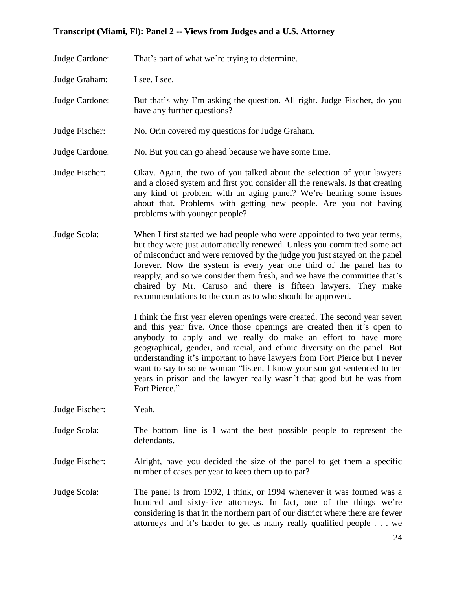Judge Cardone: That's part of what we're trying to determine.

Judge Graham: I see. I see.

- Judge Cardone: But that's why I'm asking the question. All right. Judge Fischer, do you have any further questions?
- Judge Fischer: No. Orin covered my questions for Judge Graham.
- Judge Cardone: No. But you can go ahead because we have some time.
- Judge Fischer: Okay. Again, the two of you talked about the selection of your lawyers and a closed system and first you consider all the renewals. Is that creating any kind of problem with an aging panel? We're hearing some issues about that. Problems with getting new people. Are you not having problems with younger people?
- Judge Scola: When I first started we had people who were appointed to two year terms, but they were just automatically renewed. Unless you committed some act of misconduct and were removed by the judge you just stayed on the panel forever. Now the system is every year one third of the panel has to reapply, and so we consider them fresh, and we have the committee that's chaired by Mr. Caruso and there is fifteen lawyers. They make recommendations to the court as to who should be approved.

I think the first year eleven openings were created. The second year seven and this year five. Once those openings are created then it's open to anybody to apply and we really do make an effort to have more geographical, gender, and racial, and ethnic diversity on the panel. But understanding it's important to have lawyers from Fort Pierce but I never want to say to some woman "listen, I know your son got sentenced to ten years in prison and the lawyer really wasn't that good but he was from Fort Pierce."

- Judge Fischer: Yeah.
- Judge Scola: The bottom line is I want the best possible people to represent the defendants.
- Judge Fischer: Alright, have you decided the size of the panel to get them a specific number of cases per year to keep them up to par?
- Judge Scola: The panel is from 1992, I think, or 1994 whenever it was formed was a hundred and sixty-five attorneys. In fact, one of the things we're considering is that in the northern part of our district where there are fewer attorneys and it's harder to get as many really qualified people . . . we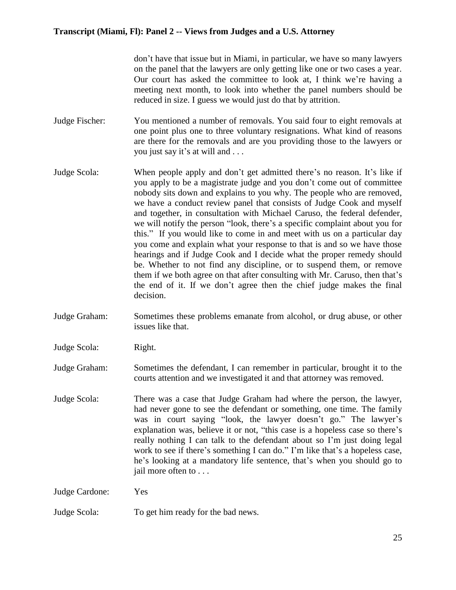don't have that issue but in Miami, in particular, we have so many lawyers on the panel that the lawyers are only getting like one or two cases a year. Our court has asked the committee to look at, I think we're having a meeting next month, to look into whether the panel numbers should be reduced in size. I guess we would just do that by attrition.

- Judge Fischer: You mentioned a number of removals. You said four to eight removals at one point plus one to three voluntary resignations. What kind of reasons are there for the removals and are you providing those to the lawyers or you just say it's at will and . . .
- Judge Scola: When people apply and don't get admitted there's no reason. It's like if you apply to be a magistrate judge and you don't come out of committee nobody sits down and explains to you why. The people who are removed, we have a conduct review panel that consists of Judge Cook and myself and together, in consultation with Michael Caruso, the federal defender, we will notify the person "look, there's a specific complaint about you for this." If you would like to come in and meet with us on a particular day you come and explain what your response to that is and so we have those hearings and if Judge Cook and I decide what the proper remedy should be. Whether to not find any discipline, or to suspend them, or remove them if we both agree on that after consulting with Mr. Caruso, then that's the end of it. If we don't agree then the chief judge makes the final decision.
- Judge Graham: Sometimes these problems emanate from alcohol, or drug abuse, or other issues like that.
- Judge Scola: Right.

Judge Graham: Sometimes the defendant, I can remember in particular, brought it to the courts attention and we investigated it and that attorney was removed.

Judge Scola: There was a case that Judge Graham had where the person, the lawyer, had never gone to see the defendant or something, one time. The family was in court saying "look, the lawyer doesn't go." The lawyer's explanation was, believe it or not, "this case is a hopeless case so there's really nothing I can talk to the defendant about so I'm just doing legal work to see if there's something I can do." I'm like that's a hopeless case, he's looking at a mandatory life sentence, that's when you should go to jail more often to . . .

Judge Cardone: Yes

Judge Scola: To get him ready for the bad news.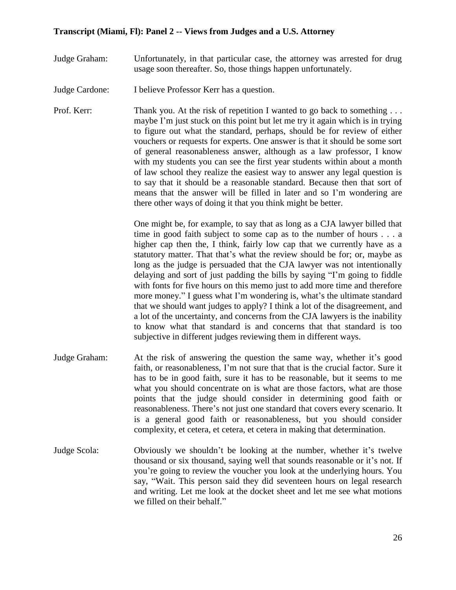- Judge Graham: Unfortunately, in that particular case, the attorney was arrested for drug usage soon thereafter. So, those things happen unfortunately.
- Judge Cardone: I believe Professor Kerr has a question.
- Prof. Kerr: Thank you. At the risk of repetition I wanted to go back to something ... maybe I'm just stuck on this point but let me try it again which is in trying to figure out what the standard, perhaps, should be for review of either vouchers or requests for experts. One answer is that it should be some sort of general reasonableness answer, although as a law professor, I know with my students you can see the first year students within about a month of law school they realize the easiest way to answer any legal question is to say that it should be a reasonable standard. Because then that sort of means that the answer will be filled in later and so I'm wondering are there other ways of doing it that you think might be better.

One might be, for example, to say that as long as a CJA lawyer billed that time in good faith subject to some cap as to the number of hours . . . a higher cap then the, I think, fairly low cap that we currently have as a statutory matter. That that's what the review should be for; or, maybe as long as the judge is persuaded that the CJA lawyer was not intentionally delaying and sort of just padding the bills by saying "I'm going to fiddle with fonts for five hours on this memo just to add more time and therefore more money." I guess what I'm wondering is, what's the ultimate standard that we should want judges to apply? I think a lot of the disagreement, and a lot of the uncertainty, and concerns from the CJA lawyers is the inability to know what that standard is and concerns that that standard is too subjective in different judges reviewing them in different ways.

- Judge Graham: At the risk of answering the question the same way, whether it's good faith, or reasonableness, I'm not sure that that is the crucial factor. Sure it has to be in good faith, sure it has to be reasonable, but it seems to me what you should concentrate on is what are those factors, what are those points that the judge should consider in determining good faith or reasonableness. There's not just one standard that covers every scenario. It is a general good faith or reasonableness, but you should consider complexity, et cetera, et cetera, et cetera in making that determination.
- Judge Scola: Obviously we shouldn't be looking at the number, whether it's twelve thousand or six thousand, saying well that sounds reasonable or it's not. If you're going to review the voucher you look at the underlying hours. You say, "Wait. This person said they did seventeen hours on legal research and writing. Let me look at the docket sheet and let me see what motions we filled on their behalf."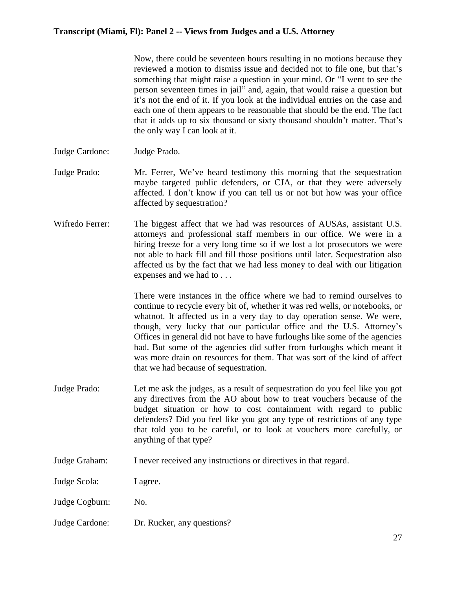Now, there could be seventeen hours resulting in no motions because they reviewed a motion to dismiss issue and decided not to file one, but that's something that might raise a question in your mind. Or "I went to see the person seventeen times in jail" and, again, that would raise a question but it's not the end of it. If you look at the individual entries on the case and each one of them appears to be reasonable that should be the end. The fact that it adds up to six thousand or sixty thousand shouldn't matter. That's the only way I can look at it.

- Judge Cardone: Judge Prado.
- Judge Prado: Mr. Ferrer, We've heard testimony this morning that the sequestration maybe targeted public defenders, or CJA, or that they were adversely affected. I don't know if you can tell us or not but how was your office affected by sequestration?
- Wifredo Ferrer: The biggest affect that we had was resources of AUSAs, assistant U.S. attorneys and professional staff members in our office. We were in a hiring freeze for a very long time so if we lost a lot prosecutors we were not able to back fill and fill those positions until later. Sequestration also affected us by the fact that we had less money to deal with our litigation expenses and we had to . . .

There were instances in the office where we had to remind ourselves to continue to recycle every bit of, whether it was red wells, or notebooks, or whatnot. It affected us in a very day to day operation sense. We were, though, very lucky that our particular office and the U.S. Attorney's Offices in general did not have to have furloughs like some of the agencies had. But some of the agencies did suffer from furloughs which meant it was more drain on resources for them. That was sort of the kind of affect that we had because of sequestration.

- Judge Prado: Let me ask the judges, as a result of sequestration do you feel like you got any directives from the AO about how to treat vouchers because of the budget situation or how to cost containment with regard to public defenders? Did you feel like you got any type of restrictions of any type that told you to be careful, or to look at vouchers more carefully, or anything of that type?
- Judge Graham: I never received any instructions or directives in that regard.

Judge Scola: I agree.

- Judge Cogburn: No.
- Judge Cardone: Dr. Rucker, any questions?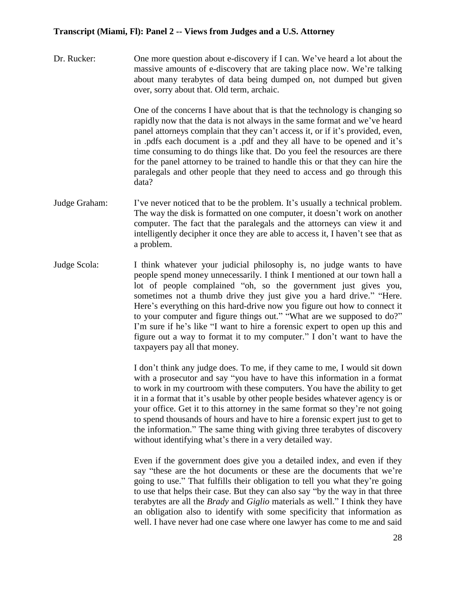Dr. Rucker: One more question about e-discovery if I can. We've heard a lot about the massive amounts of e-discovery that are taking place now. We're talking about many terabytes of data being dumped on, not dumped but given over, sorry about that. Old term, archaic.

> One of the concerns I have about that is that the technology is changing so rapidly now that the data is not always in the same format and we've heard panel attorneys complain that they can't access it, or if it's provided, even, in .pdfs each document is a .pdf and they all have to be opened and it's time consuming to do things like that. Do you feel the resources are there for the panel attorney to be trained to handle this or that they can hire the paralegals and other people that they need to access and go through this data?

- Judge Graham: I've never noticed that to be the problem. It's usually a technical problem. The way the disk is formatted on one computer, it doesn't work on another computer. The fact that the paralegals and the attorneys can view it and intelligently decipher it once they are able to access it, I haven't see that as a problem.
- Judge Scola: I think whatever your judicial philosophy is, no judge wants to have people spend money unnecessarily. I think I mentioned at our town hall a lot of people complained "oh, so the government just gives you, sometimes not a thumb drive they just give you a hard drive." "Here. Here's everything on this hard-drive now you figure out how to connect it to your computer and figure things out." "What are we supposed to do?" I'm sure if he's like "I want to hire a forensic expert to open up this and figure out a way to format it to my computer." I don't want to have the taxpayers pay all that money.

I don't think any judge does. To me, if they came to me, I would sit down with a prosecutor and say "you have to have this information in a format to work in my courtroom with these computers. You have the ability to get it in a format that it's usable by other people besides whatever agency is or your office. Get it to this attorney in the same format so they're not going to spend thousands of hours and have to hire a forensic expert just to get to the information." The same thing with giving three terabytes of discovery without identifying what's there in a very detailed way.

Even if the government does give you a detailed index, and even if they say "these are the hot documents or these are the documents that we're going to use." That fulfills their obligation to tell you what they're going to use that helps their case. But they can also say "by the way in that three terabytes are all the *Brady* and *Giglio* materials as well." I think they have an obligation also to identify with some specificity that information as well. I have never had one case where one lawyer has come to me and said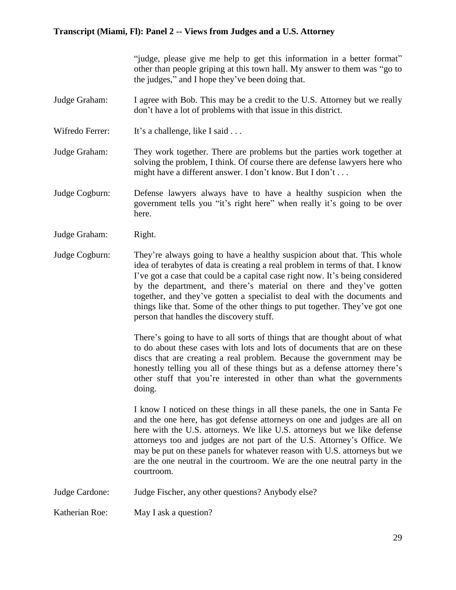"judge, please give me help to get this information in a better format" other than people griping at this town hall. My answer to them was "go to the judges," and I hope they've been doing that.

- Judge Graham: I agree with Bob. This may be a credit to the U.S. Attorney but we really don't have a lot of problems with that issue in this district.
- Wifredo Ferrer: It's a challenge, like I said . . .
- Judge Graham: They work together. There are problems but the parties work together at solving the problem, I think. Of course there are defense lawyers here who might have a different answer. I don't know. But I don't . . .
- Judge Cogburn: Defense lawyers always have to have a healthy suspicion when the government tells you "it's right here" when really it's going to be over here.
- Judge Graham: Right.
- Judge Cogburn: They're always going to have a healthy suspicion about that. This whole idea of terabytes of data is creating a real problem in terms of that. I know I've got a case that could be a capital case right now. It's being considered by the department, and there's material on there and they've gotten together, and they've gotten a specialist to deal with the documents and things like that. Some of the other things to put together. They've got one person that handles the discovery stuff.

There's going to have to all sorts of things that are thought about of what to do about these cases with lots and lots of documents that are on these discs that are creating a real problem. Because the government may be honestly telling you all of these things but as a defense attorney there's other stuff that you're interested in other than what the governments doing.

I know I noticed on these things in all these panels, the one in Santa Fe and the one here, has got defense attorneys on one and judges are all on here with the U.S. attorneys. We like U.S. attorneys but we like defense attorneys too and judges are not part of the U.S. Attorney's Office. We may be put on these panels for whatever reason with U.S. attorneys but we are the one neutral in the courtroom. We are the one neutral party in the courtroom.

Judge Cardone: Judge Fischer, any other questions? Anybody else?

Katherian Roe: May I ask a question?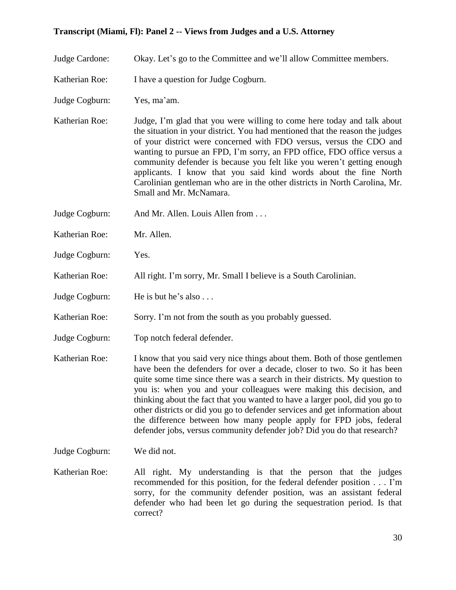Judge Cardone: Okay. Let's go to the Committee and we'll allow Committee members.

- Katherian Roe: I have a question for Judge Cogburn.
- Judge Cogburn: Yes, ma'am.
- Katherian Roe: Judge, I'm glad that you were willing to come here today and talk about the situation in your district. You had mentioned that the reason the judges of your district were concerned with FDO versus, versus the CDO and wanting to pursue an FPD, I'm sorry, an FPD office, FDO office versus a community defender is because you felt like you weren't getting enough applicants. I know that you said kind words about the fine North Carolinian gentleman who are in the other districts in North Carolina, Mr. Small and Mr. McNamara.
- Judge Cogburn: And Mr. Allen. Louis Allen from . . .
- Katherian Roe: Mr. Allen.
- Judge Cogburn: Yes.
- Katherian Roe: All right. I'm sorry, Mr. Small I believe is a South Carolinian.
- Judge Cogburn: He is but he's also . . .
- Katherian Roe: Sorry. I'm not from the south as you probably guessed.
- Judge Cogburn: Top notch federal defender.
- Katherian Roe: I know that you said very nice things about them. Both of those gentlemen have been the defenders for over a decade, closer to two. So it has been quite some time since there was a search in their districts. My question to you is: when you and your colleagues were making this decision, and thinking about the fact that you wanted to have a larger pool, did you go to other districts or did you go to defender services and get information about the difference between how many people apply for FPD jobs, federal defender jobs, versus community defender job? Did you do that research?
- Judge Cogburn: We did not.
- Katherian Roe: All right. My understanding is that the person that the judges recommended for this position, for the federal defender position . . . I'm sorry, for the community defender position, was an assistant federal defender who had been let go during the sequestration period. Is that correct?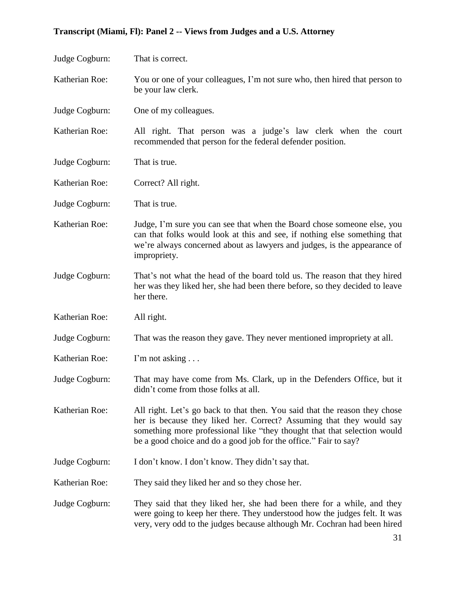| Judge Cogburn: | That is correct.                                                                                                                                                                                                                                                                                   |
|----------------|----------------------------------------------------------------------------------------------------------------------------------------------------------------------------------------------------------------------------------------------------------------------------------------------------|
| Katherian Roe: | You or one of your colleagues, I'm not sure who, then hired that person to<br>be your law clerk.                                                                                                                                                                                                   |
| Judge Cogburn: | One of my colleagues.                                                                                                                                                                                                                                                                              |
| Katherian Roe: | All right. That person was a judge's law clerk when the court<br>recommended that person for the federal defender position.                                                                                                                                                                        |
| Judge Cogburn: | That is true.                                                                                                                                                                                                                                                                                      |
| Katherian Roe: | Correct? All right.                                                                                                                                                                                                                                                                                |
| Judge Cogburn: | That is true.                                                                                                                                                                                                                                                                                      |
| Katherian Roe: | Judge, I'm sure you can see that when the Board chose someone else, you<br>can that folks would look at this and see, if nothing else something that<br>we're always concerned about as lawyers and judges, is the appearance of<br>impropriety.                                                   |
| Judge Cogburn: | That's not what the head of the board told us. The reason that they hired<br>her was they liked her, she had been there before, so they decided to leave<br>her there.                                                                                                                             |
| Katherian Roe: | All right.                                                                                                                                                                                                                                                                                         |
| Judge Cogburn: | That was the reason they gave. They never mentioned impropriety at all.                                                                                                                                                                                                                            |
| Katherian Roe: | I'm not asking $\dots$                                                                                                                                                                                                                                                                             |
| Judge Cogburn: | That may have come from Ms. Clark, up in the Defenders Office, but it<br>didn't come from those folks at all.                                                                                                                                                                                      |
| Katherian Roe: | All right. Let's go back to that then. You said that the reason they chose<br>her is because they liked her. Correct? Assuming that they would say<br>something more professional like "they thought that that selection would<br>be a good choice and do a good job for the office." Fair to say? |
| Judge Cogburn: | I don't know. I don't know. They didn't say that.                                                                                                                                                                                                                                                  |
| Katherian Roe: | They said they liked her and so they chose her.                                                                                                                                                                                                                                                    |
| Judge Cogburn: | They said that they liked her, she had been there for a while, and they<br>were going to keep her there. They understood how the judges felt. It was<br>very, very odd to the judges because although Mr. Cochran had been hired                                                                   |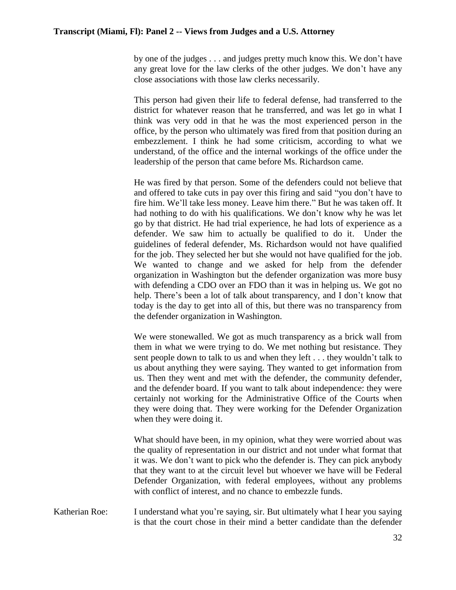by one of the judges . . . and judges pretty much know this. We don't have any great love for the law clerks of the other judges. We don't have any close associations with those law clerks necessarily.

This person had given their life to federal defense, had transferred to the district for whatever reason that he transferred, and was let go in what I think was very odd in that he was the most experienced person in the office, by the person who ultimately was fired from that position during an embezzlement. I think he had some criticism, according to what we understand, of the office and the internal workings of the office under the leadership of the person that came before Ms. Richardson came.

He was fired by that person. Some of the defenders could not believe that and offered to take cuts in pay over this firing and said "you don't have to fire him. We'll take less money. Leave him there." But he was taken off. It had nothing to do with his qualifications. We don't know why he was let go by that district. He had trial experience, he had lots of experience as a defender. We saw him to actually be qualified to do it. Under the guidelines of federal defender, Ms. Richardson would not have qualified for the job. They selected her but she would not have qualified for the job. We wanted to change and we asked for help from the defender organization in Washington but the defender organization was more busy with defending a CDO over an FDO than it was in helping us. We got no help. There's been a lot of talk about transparency, and I don't know that today is the day to get into all of this, but there was no transparency from the defender organization in Washington.

We were stonewalled. We got as much transparency as a brick wall from them in what we were trying to do. We met nothing but resistance. They sent people down to talk to us and when they left . . . they wouldn't talk to us about anything they were saying. They wanted to get information from us. Then they went and met with the defender, the community defender, and the defender board. If you want to talk about independence: they were certainly not working for the Administrative Office of the Courts when they were doing that. They were working for the Defender Organization when they were doing it.

What should have been, in my opinion, what they were worried about was the quality of representation in our district and not under what format that it was. We don't want to pick who the defender is. They can pick anybody that they want to at the circuit level but whoever we have will be Federal Defender Organization, with federal employees, without any problems with conflict of interest, and no chance to embezzle funds.

Katherian Roe: I understand what you're saying, sir. But ultimately what I hear you saying is that the court chose in their mind a better candidate than the defender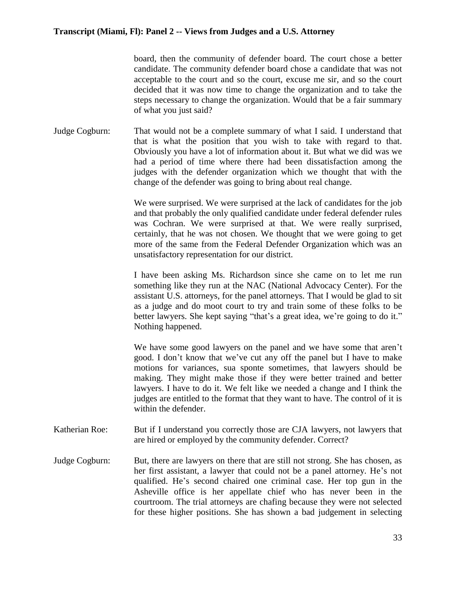board, then the community of defender board. The court chose a better candidate. The community defender board chose a candidate that was not acceptable to the court and so the court, excuse me sir, and so the court decided that it was now time to change the organization and to take the steps necessary to change the organization. Would that be a fair summary of what you just said?

Judge Cogburn: That would not be a complete summary of what I said. I understand that that is what the position that you wish to take with regard to that. Obviously you have a lot of information about it. But what we did was we had a period of time where there had been dissatisfaction among the judges with the defender organization which we thought that with the change of the defender was going to bring about real change.

> We were surprised. We were surprised at the lack of candidates for the job and that probably the only qualified candidate under federal defender rules was Cochran. We were surprised at that. We were really surprised, certainly, that he was not chosen. We thought that we were going to get more of the same from the Federal Defender Organization which was an unsatisfactory representation for our district.

> I have been asking Ms. Richardson since she came on to let me run something like they run at the NAC (National Advocacy Center). For the assistant U.S. attorneys, for the panel attorneys. That I would be glad to sit as a judge and do moot court to try and train some of these folks to be better lawyers. She kept saying "that's a great idea, we're going to do it." Nothing happened.

> We have some good lawyers on the panel and we have some that aren't good. I don't know that we've cut any off the panel but I have to make motions for variances, sua sponte sometimes, that lawyers should be making. They might make those if they were better trained and better lawyers. I have to do it. We felt like we needed a change and I think the judges are entitled to the format that they want to have. The control of it is within the defender.

- Katherian Roe: But if I understand you correctly those are CJA lawyers, not lawyers that are hired or employed by the community defender. Correct?
- Judge Cogburn: But, there are lawyers on there that are still not strong. She has chosen, as her first assistant, a lawyer that could not be a panel attorney. He's not qualified. He's second chaired one criminal case. Her top gun in the Asheville office is her appellate chief who has never been in the courtroom. The trial attorneys are chafing because they were not selected for these higher positions. She has shown a bad judgement in selecting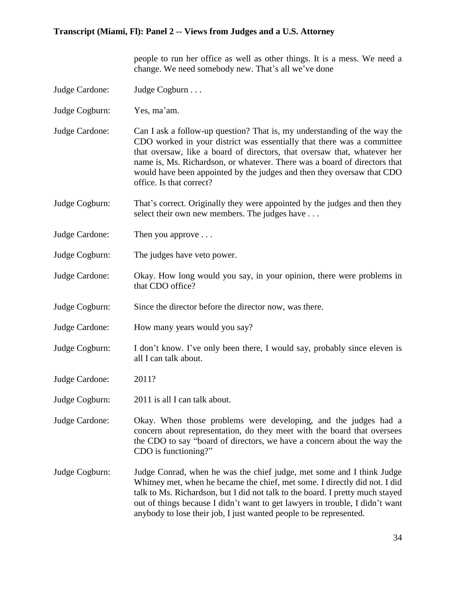people to run her office as well as other things. It is a mess. We need a change. We need somebody new. That's all we've done

- Judge Cardone: Judge Cogburn . . .
- Judge Cogburn: Yes, ma'am.
- Judge Cardone: Can I ask a follow-up question? That is, my understanding of the way the CDO worked in your district was essentially that there was a committee that oversaw, like a board of directors, that oversaw that, whatever her name is, Ms. Richardson, or whatever. There was a board of directors that would have been appointed by the judges and then they oversaw that CDO office. Is that correct?
- Judge Cogburn: That's correct. Originally they were appointed by the judges and then they select their own new members. The judges have ...
- Judge Cardone: Then you approve ...
- Judge Cogburn: The judges have veto power.
- Judge Cardone: Okay. How long would you say, in your opinion, there were problems in that CDO office?
- Judge Cogburn: Since the director before the director now, was there.
- Judge Cardone: How many years would you say?
- Judge Cogburn: I don't know. I've only been there, I would say, probably since eleven is all I can talk about.
- Judge Cardone: 2011?
- Judge Cogburn: 2011 is all I can talk about.

Judge Cardone: Okay. When those problems were developing, and the judges had a concern about representation, do they meet with the board that oversees the CDO to say "board of directors, we have a concern about the way the CDO is functioning?"

Judge Cogburn: Judge Conrad, when he was the chief judge, met some and I think Judge Whitney met, when he became the chief, met some. I directly did not. I did talk to Ms. Richardson, but I did not talk to the board. I pretty much stayed out of things because I didn't want to get lawyers in trouble, I didn't want anybody to lose their job, I just wanted people to be represented.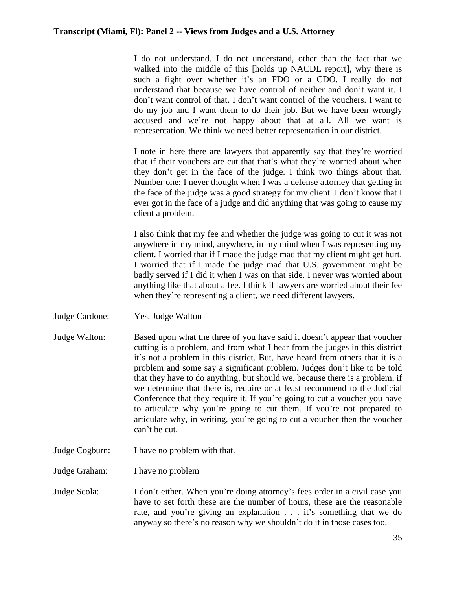I do not understand. I do not understand, other than the fact that we walked into the middle of this [holds up NACDL report], why there is such a fight over whether it's an FDO or a CDO. I really do not understand that because we have control of neither and don't want it. I don't want control of that. I don't want control of the vouchers. I want to do my job and I want them to do their job. But we have been wrongly accused and we're not happy about that at all. All we want is representation. We think we need better representation in our district.

I note in here there are lawyers that apparently say that they're worried that if their vouchers are cut that that's what they're worried about when they don't get in the face of the judge. I think two things about that. Number one: I never thought when I was a defense attorney that getting in the face of the judge was a good strategy for my client. I don't know that I ever got in the face of a judge and did anything that was going to cause my client a problem.

I also think that my fee and whether the judge was going to cut it was not anywhere in my mind, anywhere, in my mind when I was representing my client. I worried that if I made the judge mad that my client might get hurt. I worried that if I made the judge mad that U.S. government might be badly served if I did it when I was on that side. I never was worried about anything like that about a fee. I think if lawyers are worried about their fee when they're representing a client, we need different lawyers.

- Judge Cardone: Yes. Judge Walton
- Judge Walton: Based upon what the three of you have said it doesn't appear that voucher cutting is a problem, and from what I hear from the judges in this district it's not a problem in this district. But, have heard from others that it is a problem and some say a significant problem. Judges don't like to be told that they have to do anything, but should we, because there is a problem, if we determine that there is, require or at least recommend to the Judicial Conference that they require it. If you're going to cut a voucher you have to articulate why you're going to cut them. If you're not prepared to articulate why, in writing, you're going to cut a voucher then the voucher can't be cut.
- Judge Cogburn: I have no problem with that.

Judge Graham: I have no problem

Judge Scola: I don't either. When you're doing attorney's fees order in a civil case you have to set forth these are the number of hours, these are the reasonable rate, and you're giving an explanation . . . it's something that we do anyway so there's no reason why we shouldn't do it in those cases too.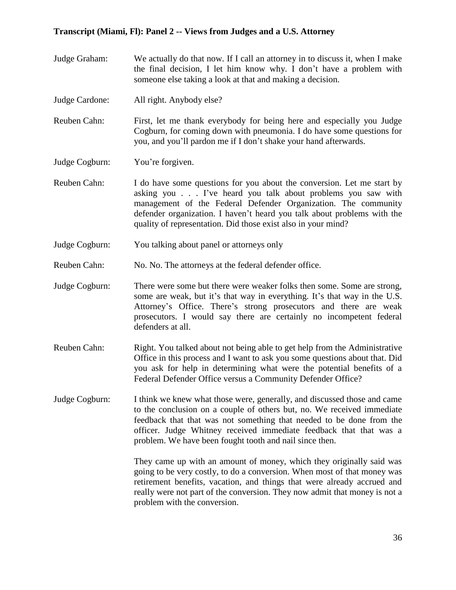- Judge Graham: We actually do that now. If I call an attorney in to discuss it, when I make the final decision, I let him know why. I don't have a problem with someone else taking a look at that and making a decision.
- Judge Cardone: All right. Anybody else?

Reuben Cahn: First, let me thank everybody for being here and especially you Judge Cogburn, for coming down with pneumonia. I do have some questions for you, and you'll pardon me if I don't shake your hand afterwards.

Judge Cogburn: You're forgiven.

- Reuben Cahn: I do have some questions for you about the conversion. Let me start by asking you . . . I've heard you talk about problems you saw with management of the Federal Defender Organization. The community defender organization. I haven't heard you talk about problems with the quality of representation. Did those exist also in your mind?
- Judge Cogburn: You talking about panel or attorneys only
- Reuben Cahn: No. No. The attorneys at the federal defender office.
- Judge Cogburn: There were some but there were weaker folks then some. Some are strong, some are weak, but it's that way in everything. It's that way in the U.S. Attorney's Office. There's strong prosecutors and there are weak prosecutors. I would say there are certainly no incompetent federal defenders at all.
- Reuben Cahn: Right. You talked about not being able to get help from the Administrative Office in this process and I want to ask you some questions about that. Did you ask for help in determining what were the potential benefits of a Federal Defender Office versus a Community Defender Office?
- Judge Cogburn: I think we knew what those were, generally, and discussed those and came to the conclusion on a couple of others but, no. We received immediate feedback that that was not something that needed to be done from the officer. Judge Whitney received immediate feedback that that was a problem. We have been fought tooth and nail since then.

They came up with an amount of money, which they originally said was going to be very costly, to do a conversion. When most of that money was retirement benefits, vacation, and things that were already accrued and really were not part of the conversion. They now admit that money is not a problem with the conversion.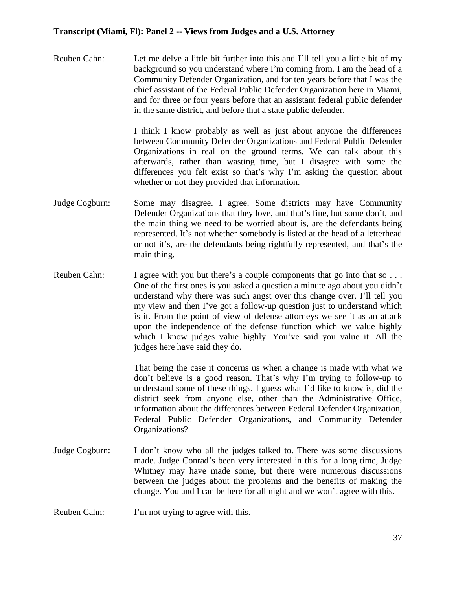Reuben Cahn: Let me delve a little bit further into this and I'll tell you a little bit of my background so you understand where I'm coming from. I am the head of a Community Defender Organization, and for ten years before that I was the chief assistant of the Federal Public Defender Organization here in Miami, and for three or four years before that an assistant federal public defender in the same district, and before that a state public defender.

> I think I know probably as well as just about anyone the differences between Community Defender Organizations and Federal Public Defender Organizations in real on the ground terms. We can talk about this afterwards, rather than wasting time, but I disagree with some the differences you felt exist so that's why I'm asking the question about whether or not they provided that information.

- Judge Cogburn: Some may disagree. I agree. Some districts may have Community Defender Organizations that they love, and that's fine, but some don't, and the main thing we need to be worried about is, are the defendants being represented. It's not whether somebody is listed at the head of a letterhead or not it's, are the defendants being rightfully represented, and that's the main thing.
- Reuben Cahn: I agree with you but there's a couple components that go into that so . . . One of the first ones is you asked a question a minute ago about you didn't understand why there was such angst over this change over. I'll tell you my view and then I've got a follow-up question just to understand which is it. From the point of view of defense attorneys we see it as an attack upon the independence of the defense function which we value highly which I know judges value highly. You've said you value it. All the judges here have said they do.

That being the case it concerns us when a change is made with what we don't believe is a good reason. That's why I'm trying to follow-up to understand some of these things. I guess what I'd like to know is, did the district seek from anyone else, other than the Administrative Office, information about the differences between Federal Defender Organization, Federal Public Defender Organizations, and Community Defender Organizations?

- Judge Cogburn: I don't know who all the judges talked to. There was some discussions made. Judge Conrad's been very interested in this for a long time, Judge Whitney may have made some, but there were numerous discussions between the judges about the problems and the benefits of making the change. You and I can be here for all night and we won't agree with this.
- Reuben Cahn: I'm not trying to agree with this.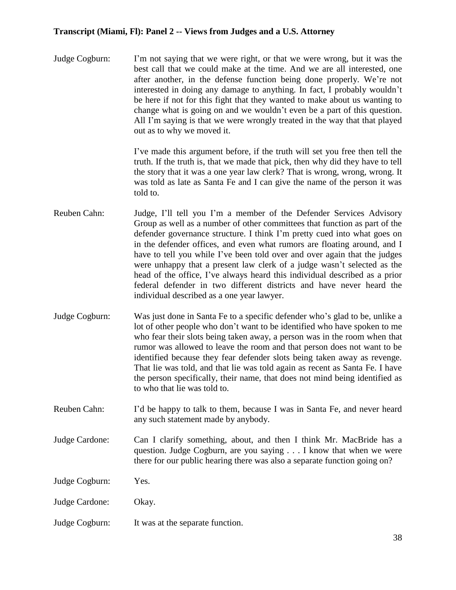Judge Cogburn: I'm not saying that we were right, or that we were wrong, but it was the best call that we could make at the time. And we are all interested, one after another, in the defense function being done properly. We're not interested in doing any damage to anything. In fact, I probably wouldn't be here if not for this fight that they wanted to make about us wanting to change what is going on and we wouldn't even be a part of this question. All I'm saying is that we were wrongly treated in the way that that played out as to why we moved it.

> I've made this argument before, if the truth will set you free then tell the truth. If the truth is, that we made that pick, then why did they have to tell the story that it was a one year law clerk? That is wrong, wrong, wrong. It was told as late as Santa Fe and I can give the name of the person it was told to.

- Reuben Cahn: Judge, I'll tell you I'm a member of the Defender Services Advisory Group as well as a number of other committees that function as part of the defender governance structure. I think I'm pretty cued into what goes on in the defender offices, and even what rumors are floating around, and I have to tell you while I've been told over and over again that the judges were unhappy that a present law clerk of a judge wasn't selected as the head of the office, I've always heard this individual described as a prior federal defender in two different districts and have never heard the individual described as a one year lawyer.
- Judge Cogburn: Was just done in Santa Fe to a specific defender who's glad to be, unlike a lot of other people who don't want to be identified who have spoken to me who fear their slots being taken away, a person was in the room when that rumor was allowed to leave the room and that person does not want to be identified because they fear defender slots being taken away as revenge. That lie was told, and that lie was told again as recent as Santa Fe. I have the person specifically, their name, that does not mind being identified as to who that lie was told to.
- Reuben Cahn: I'd be happy to talk to them, because I was in Santa Fe, and never heard any such statement made by anybody.
- Judge Cardone: Can I clarify something, about, and then I think Mr. MacBride has a question. Judge Cogburn, are you saying . . . I know that when we were there for our public hearing there was also a separate function going on?

Judge Cogburn: Yes.

Judge Cardone: Okay.

Judge Cogburn: It was at the separate function.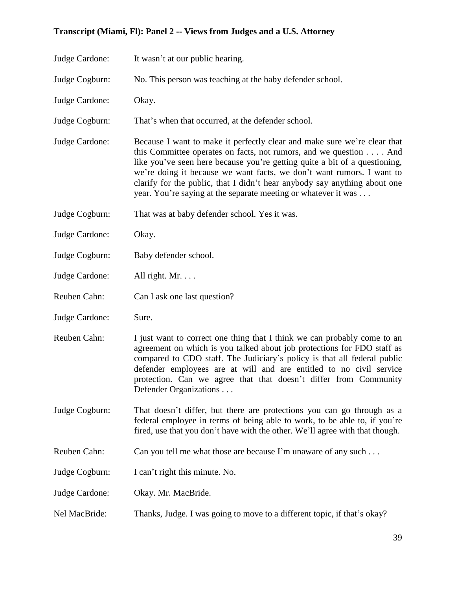| Judge Cardone: | It wasn't at our public hearing.                                                                                                                                                                                                                                                                                                                                                                                                                    |
|----------------|-----------------------------------------------------------------------------------------------------------------------------------------------------------------------------------------------------------------------------------------------------------------------------------------------------------------------------------------------------------------------------------------------------------------------------------------------------|
| Judge Cogburn: | No. This person was teaching at the baby defender school.                                                                                                                                                                                                                                                                                                                                                                                           |
| Judge Cardone: | Okay.                                                                                                                                                                                                                                                                                                                                                                                                                                               |
| Judge Cogburn: | That's when that occurred, at the defender school.                                                                                                                                                                                                                                                                                                                                                                                                  |
| Judge Cardone: | Because I want to make it perfectly clear and make sure we're clear that<br>this Committee operates on facts, not rumors, and we question And<br>like you've seen here because you're getting quite a bit of a questioning,<br>we're doing it because we want facts, we don't want rumors. I want to<br>clarify for the public, that I didn't hear anybody say anything about one<br>year. You're saying at the separate meeting or whatever it was |
| Judge Cogburn: | That was at baby defender school. Yes it was.                                                                                                                                                                                                                                                                                                                                                                                                       |
| Judge Cardone: | Okay.                                                                                                                                                                                                                                                                                                                                                                                                                                               |
| Judge Cogburn: | Baby defender school.                                                                                                                                                                                                                                                                                                                                                                                                                               |
| Judge Cardone: | All right. Mr.                                                                                                                                                                                                                                                                                                                                                                                                                                      |
| Reuben Cahn:   | Can I ask one last question?                                                                                                                                                                                                                                                                                                                                                                                                                        |
| Judge Cardone: | Sure.                                                                                                                                                                                                                                                                                                                                                                                                                                               |
| Reuben Cahn:   | I just want to correct one thing that I think we can probably come to an<br>agreement on which is you talked about job protections for FDO staff as<br>compared to CDO staff. The Judiciary's policy is that all federal public<br>defender employees are at will and are entitled to no civil service<br>protection. Can we agree that that doesn't differ from Community<br>Defender Organizations                                                |
| Judge Cogburn: | That doesn't differ, but there are protections you can go through as a<br>federal employee in terms of being able to work, to be able to, if you're<br>fired, use that you don't have with the other. We'll agree with that though.                                                                                                                                                                                                                 |
| Reuben Cahn:   | Can you tell me what those are because I'm unaware of any such                                                                                                                                                                                                                                                                                                                                                                                      |
| Judge Cogburn: | I can't right this minute. No.                                                                                                                                                                                                                                                                                                                                                                                                                      |
| Judge Cardone: | Okay. Mr. MacBride.                                                                                                                                                                                                                                                                                                                                                                                                                                 |
| Nel MacBride:  | Thanks, Judge. I was going to move to a different topic, if that's okay?                                                                                                                                                                                                                                                                                                                                                                            |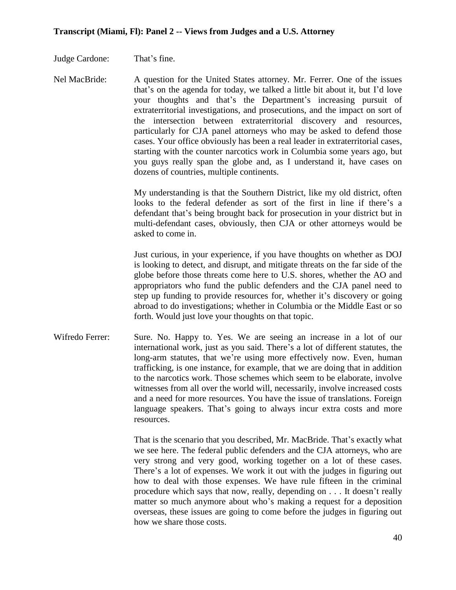Judge Cardone: That's fine.

Nel MacBride: A question for the United States attorney. Mr. Ferrer. One of the issues that's on the agenda for today, we talked a little bit about it, but I'd love your thoughts and that's the Department's increasing pursuit of extraterritorial investigations, and prosecutions, and the impact on sort of the intersection between extraterritorial discovery and resources, particularly for CJA panel attorneys who may be asked to defend those cases. Your office obviously has been a real leader in extraterritorial cases, starting with the counter narcotics work in Columbia some years ago, but you guys really span the globe and, as I understand it, have cases on dozens of countries, multiple continents.

> My understanding is that the Southern District, like my old district, often looks to the federal defender as sort of the first in line if there's a defendant that's being brought back for prosecution in your district but in multi-defendant cases, obviously, then CJA or other attorneys would be asked to come in.

> Just curious, in your experience, if you have thoughts on whether as DOJ is looking to detect, and disrupt, and mitigate threats on the far side of the globe before those threats come here to U.S. shores, whether the AO and appropriators who fund the public defenders and the CJA panel need to step up funding to provide resources for, whether it's discovery or going abroad to do investigations; whether in Columbia or the Middle East or so forth. Would just love your thoughts on that topic.

Wifredo Ferrer: Sure. No. Happy to. Yes. We are seeing an increase in a lot of our international work, just as you said. There's a lot of different statutes, the long-arm statutes, that we're using more effectively now. Even, human trafficking, is one instance, for example, that we are doing that in addition to the narcotics work. Those schemes which seem to be elaborate, involve witnesses from all over the world will, necessarily, involve increased costs and a need for more resources. You have the issue of translations. Foreign language speakers. That's going to always incur extra costs and more resources.

> That is the scenario that you described, Mr. MacBride. That's exactly what we see here. The federal public defenders and the CJA attorneys, who are very strong and very good, working together on a lot of these cases. There's a lot of expenses. We work it out with the judges in figuring out how to deal with those expenses. We have rule fifteen in the criminal procedure which says that now, really, depending on . . . It doesn't really matter so much anymore about who's making a request for a deposition overseas, these issues are going to come before the judges in figuring out how we share those costs.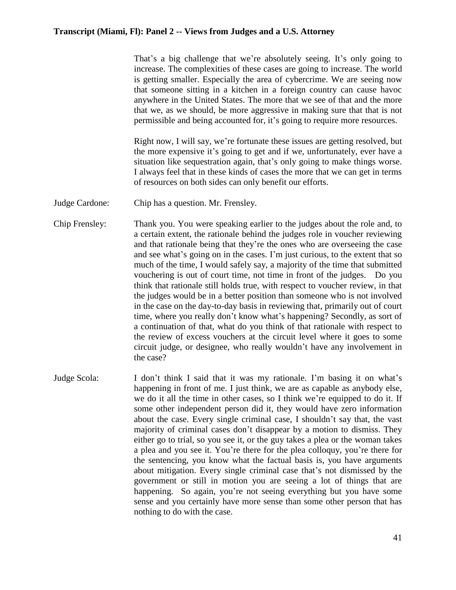That's a big challenge that we're absolutely seeing. It's only going to increase. The complexities of these cases are going to increase. The world is getting smaller. Especially the area of cybercrime. We are seeing now that someone sitting in a kitchen in a foreign country can cause havoc anywhere in the United States. The more that we see of that and the more that we, as we should, be more aggressive in making sure that that is not permissible and being accounted for, it's going to require more resources.

Right now, I will say, we're fortunate these issues are getting resolved, but the more expensive it's going to get and if we, unfortunately, ever have a situation like sequestration again, that's only going to make things worse. I always feel that in these kinds of cases the more that we can get in terms of resources on both sides can only benefit our efforts.

Judge Cardone: Chip has a question. Mr. Frensley.

Chip Frensley: Thank you. You were speaking earlier to the judges about the role and, to a certain extent, the rationale behind the judges role in voucher reviewing and that rationale being that they're the ones who are overseeing the case and see what's going on in the cases. I'm just curious, to the extent that so much of the time, I would safely say, a majority of the time that submitted vouchering is out of court time, not time in front of the judges. Do you think that rationale still holds true, with respect to voucher review, in that the judges would be in a better position than someone who is not involved in the case on the day-to-day basis in reviewing that, primarily out of court time, where you really don't know what's happening? Secondly, as sort of a continuation of that, what do you think of that rationale with respect to the review of excess vouchers at the circuit level where it goes to some circuit judge, or designee, who really wouldn't have any involvement in the case?

Judge Scola: I don't think I said that it was my rationale. I'm basing it on what's happening in front of me. I just think, we are as capable as anybody else, we do it all the time in other cases, so I think we're equipped to do it. If some other independent person did it, they would have zero information about the case. Every single criminal case, I shouldn't say that, the vast majority of criminal cases don't disappear by a motion to dismiss. They either go to trial, so you see it, or the guy takes a plea or the woman takes a plea and you see it. You're there for the plea colloquy, you're there for the sentencing, you know what the factual basis is, you have arguments about mitigation. Every single criminal case that's not dismissed by the government or still in motion you are seeing a lot of things that are happening. So again, you're not seeing everything but you have some sense and you certainly have more sense than some other person that has nothing to do with the case.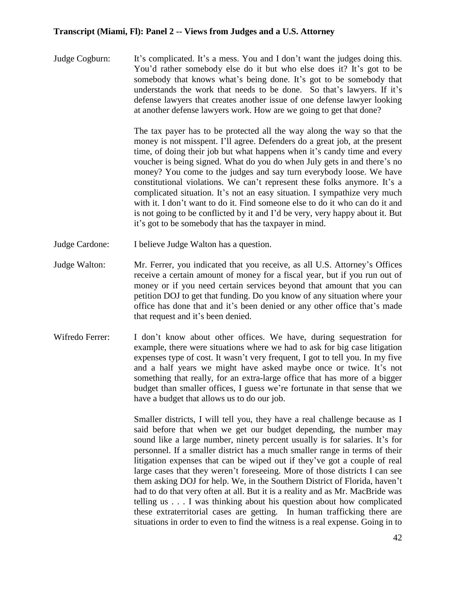Judge Cogburn: It's complicated. It's a mess. You and I don't want the judges doing this. You'd rather somebody else do it but who else does it? It's got to be somebody that knows what's being done. It's got to be somebody that understands the work that needs to be done. So that's lawyers. If it's defense lawyers that creates another issue of one defense lawyer looking at another defense lawyers work. How are we going to get that done?

> The tax payer has to be protected all the way along the way so that the money is not misspent. I'll agree. Defenders do a great job, at the present time, of doing their job but what happens when it's candy time and every voucher is being signed. What do you do when July gets in and there's no money? You come to the judges and say turn everybody loose. We have constitutional violations. We can't represent these folks anymore. It's a complicated situation. It's not an easy situation. I sympathize very much with it. I don't want to do it. Find someone else to do it who can do it and is not going to be conflicted by it and I'd be very, very happy about it. But it's got to be somebody that has the taxpayer in mind.

- Judge Cardone: I believe Judge Walton has a question.
- Judge Walton: Mr. Ferrer, you indicated that you receive, as all U.S. Attorney's Offices receive a certain amount of money for a fiscal year, but if you run out of money or if you need certain services beyond that amount that you can petition DOJ to get that funding. Do you know of any situation where your office has done that and it's been denied or any other office that's made that request and it's been denied.
- Wifredo Ferrer: I don't know about other offices. We have, during sequestration for example, there were situations where we had to ask for big case litigation expenses type of cost. It wasn't very frequent, I got to tell you. In my five and a half years we might have asked maybe once or twice. It's not something that really, for an extra-large office that has more of a bigger budget than smaller offices, I guess we're fortunate in that sense that we have a budget that allows us to do our job.

Smaller districts, I will tell you, they have a real challenge because as I said before that when we get our budget depending, the number may sound like a large number, ninety percent usually is for salaries. It's for personnel. If a smaller district has a much smaller range in terms of their litigation expenses that can be wiped out if they've got a couple of real large cases that they weren't foreseeing. More of those districts I can see them asking DOJ for help. We, in the Southern District of Florida, haven't had to do that very often at all. But it is a reality and as Mr. MacBride was telling us . . . I was thinking about his question about how complicated these extraterritorial cases are getting. In human trafficking there are situations in order to even to find the witness is a real expense. Going in to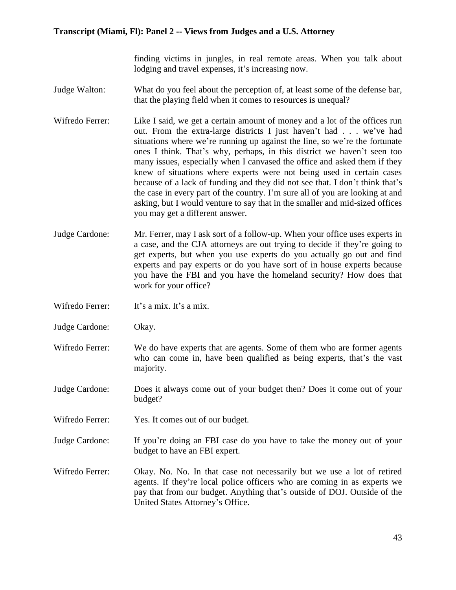finding victims in jungles, in real remote areas. When you talk about lodging and travel expenses, it's increasing now.

- Judge Walton: What do you feel about the perception of, at least some of the defense bar, that the playing field when it comes to resources is unequal?
- Wifredo Ferrer: Like I said, we get a certain amount of money and a lot of the offices run out. From the extra-large districts I just haven't had . . . we've had situations where we're running up against the line, so we're the fortunate ones I think. That's why, perhaps, in this district we haven't seen too many issues, especially when I canvased the office and asked them if they knew of situations where experts were not being used in certain cases because of a lack of funding and they did not see that. I don't think that's the case in every part of the country. I'm sure all of you are looking at and asking, but I would venture to say that in the smaller and mid-sized offices you may get a different answer.
- Judge Cardone: Mr. Ferrer, may I ask sort of a follow-up. When your office uses experts in a case, and the CJA attorneys are out trying to decide if they're going to get experts, but when you use experts do you actually go out and find experts and pay experts or do you have sort of in house experts because you have the FBI and you have the homeland security? How does that work for your office?
- Wifredo Ferrer: It's a mix. It's a mix.
- Judge Cardone: Okay.
- Wifredo Ferrer: We do have experts that are agents. Some of them who are former agents who can come in, have been qualified as being experts, that's the vast majority.
- Judge Cardone: Does it always come out of your budget then? Does it come out of your budget?
- Wifredo Ferrer: Yes. It comes out of our budget.
- Judge Cardone: If you're doing an FBI case do you have to take the money out of your budget to have an FBI expert.
- Wifredo Ferrer: Okay. No. No. In that case not necessarily but we use a lot of retired agents. If they're local police officers who are coming in as experts we pay that from our budget. Anything that's outside of DOJ. Outside of the United States Attorney's Office.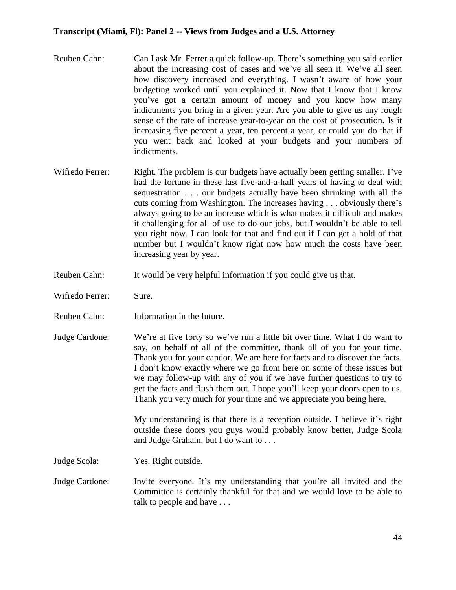- Reuben Cahn: Can I ask Mr. Ferrer a quick follow-up. There's something you said earlier about the increasing cost of cases and we've all seen it. We've all seen how discovery increased and everything. I wasn't aware of how your budgeting worked until you explained it. Now that I know that I know you've got a certain amount of money and you know how many indictments you bring in a given year. Are you able to give us any rough sense of the rate of increase year-to-year on the cost of prosecution. Is it increasing five percent a year, ten percent a year, or could you do that if you went back and looked at your budgets and your numbers of indictments.
- Wifredo Ferrer: Right. The problem is our budgets have actually been getting smaller. I've had the fortune in these last five-and-a-half years of having to deal with sequestration . . . our budgets actually have been shrinking with all the cuts coming from Washington. The increases having . . . obviously there's always going to be an increase which is what makes it difficult and makes it challenging for all of use to do our jobs, but I wouldn't be able to tell you right now. I can look for that and find out if I can get a hold of that number but I wouldn't know right now how much the costs have been increasing year by year.
- Reuben Cahn: It would be very helpful information if you could give us that.
- Wifredo Ferrer: Sure.
- Reuben Cahn: Information in the future.
- Judge Cardone: We're at five forty so we've run a little bit over time. What I do want to say, on behalf of all of the committee, thank all of you for your time. Thank you for your candor. We are here for facts and to discover the facts. I don't know exactly where we go from here on some of these issues but we may follow-up with any of you if we have further questions to try to get the facts and flush them out. I hope you'll keep your doors open to us. Thank you very much for your time and we appreciate you being here.

My understanding is that there is a reception outside. I believe it's right outside these doors you guys would probably know better, Judge Scola and Judge Graham, but I do want to . . .

Judge Scola: Yes. Right outside.

Judge Cardone: Invite everyone. It's my understanding that you're all invited and the Committee is certainly thankful for that and we would love to be able to talk to people and have . . .